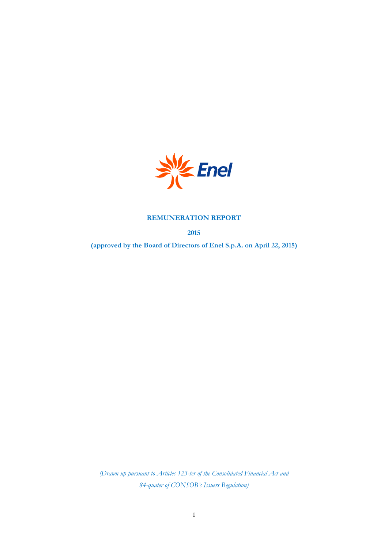

# **REMUNERATION REPORT**

**2015**

**(approved by the Board of Directors of Enel S.p.A. on April 22, 2015)**

*(Drawn up pursuant to Articles 123-ter of the Consolidated Financial Act and 84-quater of CONSOB's Issuers Regulation)*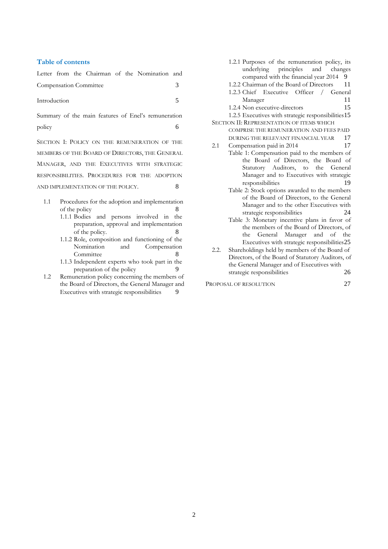## **Table of contents**

|              |  |                               |  | Letter from the Chairman of the Nomination and |  |
|--------------|--|-------------------------------|--|------------------------------------------------|--|
|              |  | <b>Compensation Committee</b> |  |                                                |  |
| Introduction |  |                               |  |                                                |  |

[Summary of the main features of Enel's remuneration](#page-5-0)  [policy](#page-5-0) 6

SECTION I: P[OLICY ON THE REMUNERATION OF THE](#page-7-0)  [MEMBERS OF THE](#page-7-0) BOARD OF DIRECTORS, THE GENERAL MANAGER, AND THE E[XECUTIVES WITH STRATEGIC](#page-7-0)  RESPONSIBILITIES. P[ROCEDURES FOR THE ADOPTION](#page-7-0)  [AND IMPLEMENTATION OF THE POLICY](#page-7-0). 8

- 1.1 [Procedures for the adoption and implementation](#page-7-1)  [of the policy](#page-7-1) 8
	- 1.1.1 [Bodies and persons involved in the](#page-7-2)  [preparation, approval and implementation](#page-7-2)  [of the policy.](#page-7-2) 8
	- 1.1.2 [Role, composition and functioning of the](#page-7-3)  [Nomination and Compensation](#page-7-3)  [Committee](#page-7-3) 8
	- 1.1.3 [Independent experts who took part in the](#page-8-0)  [preparation of the policy](#page-8-0) 9
- 1.2 [Remuneration policy concerning the members of](#page-8-1)  [the Board of Directors, the General Manager and](#page-8-1)  [Executives with strategic responsibilities](#page-8-1) 9
- 1.2.1 [Purposes of the remuneration policy, its](#page-8-2)  [underlying principles and changes](#page-8-2)  [compared with the financial year 2014](#page-8-2) 9
- 1.2.2 [Chairman of the Board of Directors](#page-10-0) 11 1.2.3 [Chief Executive Officer / General](#page-10-1)
- [Manager](#page-10-1) 11
- 1.2.4 [Non executive-directors](#page-14-0) 15

1.2.5 [Executives with strategic responsibilities](#page-14-1)15 SECTION II: R[EPRESENTATION OF ITEMS WHICH](#page-16-0) 

- [COMPRISE THE REMUNERATION AND FEES PAID](#page-16-0)  [DURING THE RELEVANT FINANCIAL YEAR](#page-16-0) 17
- 2.1 [Compensation](#page-16-1) paid in 2014 17 [Table 1: Compensation paid to the members of](#page-18-0)  [the Board of Directors, the Board of](#page-18-0)  [Statutory Auditors, to the General](#page-18-0)  [Manager and to Executives with strategic](#page-18-0)  [responsibilities](#page-18-0) 19
	- [Table 2: Stock options awarded](#page-23-0) to the members [of the Board of Directors, to the General](#page-23-0)  [Manager and to the other Executives with](#page-23-0)  [strategic responsibilities](#page-23-0) 24
	- [Table 3: Monetary incentive plans in favor of](#page-24-0)  [the members of the Board of Directors, of](#page-24-0)  [the General Manager and of the](#page-24-0)  [Executives with strategic responsibilities](#page-24-0)25
- 2.2. [Shareholdings held by members of the Board of](#page-25-0)  [Directors, of the Board of Statutory Auditors, of](#page-25-0)  [the General Manager and of Executives with](#page-25-0)  [strategic responsibilities](#page-25-0) 26

PROPOSAL OF [RESOLUTION](#page-26-0) 27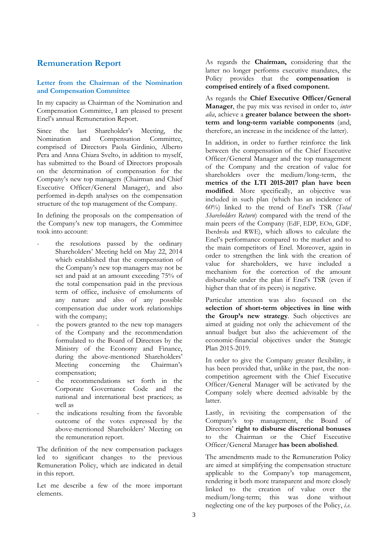# **Remuneration Report**

# <span id="page-2-0"></span>**Letter from the Chairman of the Nomination and Compensation Committee**

In my capacity as Chairman of the Nomination and Compensation Committee, I am pleased to present Enel's annual Remuneration Report.

Since the last Shareholder's Meeting, the Nomination and Compensation Committee, comprised of Directors Paola Girdinio, Alberto Pera and Anna Chiara Svelto, in addition to myself, has submitted to the Board of Directors proposals on the determination of compensation for the Company's new top managers (Chairman and Chief Executive Officer/General Manager), and also performed in-depth analyses on the compensation structure of the top management of the Company.

In defining the proposals on the compensation of the Company's new top managers, the Committee took into account:

- the resolutions passed by the ordinary Shareholders' Meeting held on May 22, 2014 which established that the compensation of the Company's new top managers may not be set and paid at an amount exceeding 75% of the total compensation paid in the previous term of office, inclusive of emoluments of any nature and also of any possible compensation due under work relationships with the company;
- the powers granted to the new top managers of the Company and the recommendation formulated to the Board of Directors by the Ministry of the Economy and Finance, during the above-mentioned Shareholders' Meeting concerning the Chairman's compensation;
- the recommendations set forth in the Corporate Governance Code and the national and international best practices; as well as
- the indications resulting from the favorable outcome of the votes expressed by the above-mentioned Shareholders' Meeting on the remuneration report.

The definition of the new compensation packages led to significant changes to the previous Remuneration Policy, which are indicated in detail in this report.

Let me describe a few of the more important elements.

As regards the **Chairman,** considering that the latter no longer performs executive mandates, the Policy provides that the **compensation** is **comprised entirely of a fixed component.**

As regards the **Chief Executive Officer/General Manager**, the pay mix was revised in order to, *inter alia*, achieve a **greater balance between the shortterm and long-term variable components** (and, therefore, an increase in the incidence of the latter).

In addition, in order to further reinforce the link between the compensation of the Chief Executive Officer/General Manager and the top management of the Company and the creation of value for shareholders over the medium/long-term, the **metrics of the LTI 2015-2017 plan have been modified**. More specifically, an objective was included in such plan (which has an incidence of 60%) linked to the trend of Enel's TSR (*Total Shareholders Return*) compared with the trend of the main peers of the Company (EdF, EDP, EOn, GDF, Iberdrola and RWE), which allows to calculate the Enel's performance compared to the market and to the main competitors of Enel. Moreover, again in order to strengthen the link with the creation of value for shareholders, we have included a mechanism for the correction of the amount disbursable under the plan if Enel's TSR (even if higher than that of its peers) is negative.

Particular attention was also focused on the **selection of short-term objectives in line with the Group's new strategy**. Such objectives are aimed at guiding not only the achievement of the annual budget but also the achievement of the economic-financial objectives under the Stategic Plan 2015-2019.

In order to give the Company greater flexibility, it has been provided that, unlike in the past, the noncompetition agreement with the Chief Executive Officer/General Manager will be activated by the Company solely where deemed advisable by the latter.

Lastly, in revisiting the compensation of the Company's top management, the Board of Directors' **right to disburse discretional bonuses** to the Chairman or the Chief Executive Officer/General Manager **has been abolished**.

The amendments made to the Remuneration Policy are aimed at simplifying the compensation structure applicable to the Company's top management, rendering it both more transparent and more closely linked to the creation of value over the medium/long-term; this was done without neglecting one of the key purposes of the Policy, *i.e.*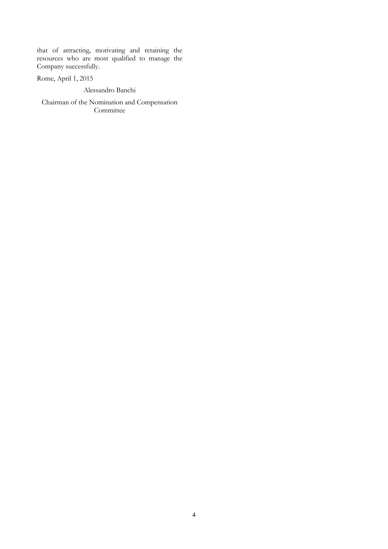that of attracting, motivating and retaining the resources who are most qualified to manage the Company successfully.

Rome, April 1, 2015

Alessandro Banchi

Chairman of the Nomination and Compensation **Committee**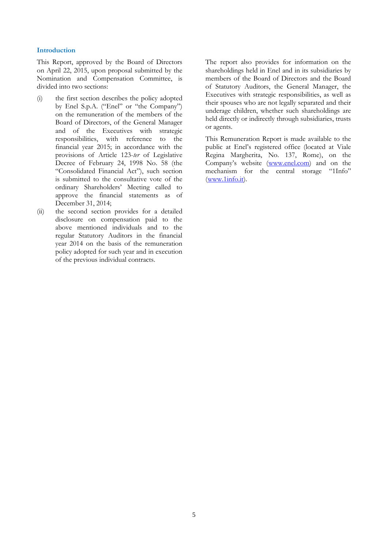## <span id="page-4-0"></span>**Introduction**

This Report, approved by the Board of Directors on April 22, 2015, upon proposal submitted by the Nomination and Compensation Committee, is divided into two sections:

- (i) the first section describes the policy adopted by Enel S.p.A. ("Enel" or "the Company") on the remuneration of the members of the Board of Directors, of the General Manager and of the Executives with strategic responsibilities, with reference to the financial year 2015; in accordance with the provisions of Article 123-*ter* of Legislative Decree of February 24, 1998 No. 58 (the "Consolidated Financial Act"), such section is submitted to the consultative vote of the ordinary Shareholders' Meeting called to approve the financial statements as of December 31, 2014;
- (ii) the second section provides for a detailed disclosure on compensation paid to the above mentioned individuals and to the regular Statutory Auditors in the financial year 2014 on the basis of the remuneration policy adopted for such year and in execution of the previous individual contracts.

The report also provides for information on the shareholdings held in Enel and in its subsidiaries by members of the Board of Directors and the Board of Statutory Auditors, the General Manager, the Executives with strategic responsibilities, as well as their spouses who are not legally separated and their underage children, whether such shareholdings are held directly or indirectly through subsidiaries, trusts or agents.

This Remuneration Report is made available to the public at Enel's registered office (located at Viale Regina Margherita, No. 137, Rome), on the Company's website ([www.enel.com\)](http://www.enel.com/) and on the mechanism for the central storage "1Info" [\(www.1info.it\)](http://www.1info.it/).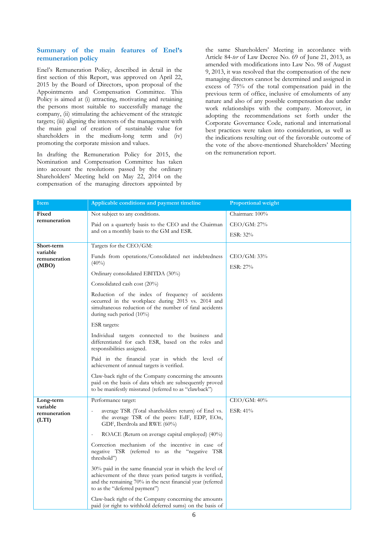## <span id="page-5-0"></span>**Summary of the main features of Enel's remuneration policy**

Enel's Remuneration Policy, described in detail in the first section of this Report, was approved on April 22, 2015 by the Board of Directors, upon proposal of the Appointments and Compensation Committee. This Policy is aimed at (i) attracting, motivating and retaining the persons most suitable to successfully manage the company, (ii) stimulating the achievement of the strategic targets; (iii) aligning the interests of the management with the main goal of creation of sustainable value for shareholders in the medium-long term and (iv) promoting the corporate mission and values.

In drafting the Remuneration Policy for 2015, the Nomination and Compensation Committee has taken into account the resolutions passed by the ordinary Shareholders' Meeting held on May 22, 2014 on the compensation of the managing directors appointed by

the same Shareholders' Meeting in accordance with Article 84-*ter* of Law Decree No. 69 of June 21, 2013, as amended with modifications into Law No. 98 of August 9, 2013, it was resolved that the compensation of the new managing directors cannot be determined and assigned in excess of 75% of the total compensation paid in the previous term of office, inclusive of emoluments of any nature and also of any possible compensation due under work relationships with the company. Moreover, in adopting the recommendations set forth under the Corporate Governance Code, national and international best practices were taken into consideration, as well as the indications resulting out of the favorable outcome of the vote of the above-mentioned Shareholders' Meeting on the remuneration report.

| Item                              | Applicable conditions and payment timeline                                                                                                                                                                             | <b>Proportional weight</b> |
|-----------------------------------|------------------------------------------------------------------------------------------------------------------------------------------------------------------------------------------------------------------------|----------------------------|
| Fixed                             | Not subject to any conditions.                                                                                                                                                                                         | Chairman: 100%             |
| remuneration                      | Paid on a quarterly basis to the CEO and the Chairman                                                                                                                                                                  | CEO/GM: 27%                |
|                                   | and on a monthly basis to the GM and ESR.                                                                                                                                                                              | ESR: 32%                   |
| <b>Short-term</b>                 | Targets for the CEO/GM:                                                                                                                                                                                                |                            |
| variable<br>remuneration          | Funds from operations/Consolidated net indebtedness                                                                                                                                                                    | CEO/GM: 33%                |
| (MBO)                             | $(40\%)$                                                                                                                                                                                                               | ESR: 27%                   |
|                                   | Ordinary consolidated EBITDA (30%)                                                                                                                                                                                     |                            |
|                                   | Consolidated cash cost (20%)                                                                                                                                                                                           |                            |
|                                   | Reduction of the index of frequency of accidents<br>occurred in the workplace during 2015 vs. 2014 and<br>simultaneous reduction of the number of fatal accidents<br>during such period $(10\%)$                       |                            |
|                                   | ESR targets:                                                                                                                                                                                                           |                            |
|                                   | Individual targets connected to the business and<br>differentiated for each ESR, based on the roles and<br>responsibilities assigned.                                                                                  |                            |
|                                   | Paid in the financial year in which the level of<br>achievement of annual targets is verified.                                                                                                                         |                            |
|                                   | Claw-back right of the Company concerning the amounts<br>paid on the basis of data which are subsequently proved<br>to be manifestly misstated (referred to as "clawback")                                             |                            |
| Long-term                         | Performance target:                                                                                                                                                                                                    | CEO/GM: 40%                |
| variable<br>remuneration<br>(LTI) | average TSR (Total shareholders return) of Enel vs.<br>the average TSR of the peers: EdF, EDP, EOn,<br>GDF, Iberdrola and RWE (60%)                                                                                    | ESR: 41%                   |
|                                   | ROACE (Return on average capital employed) (40%)                                                                                                                                                                       |                            |
|                                   | Correction mechanism of the incentive in case of<br>negative TSR (referred to as the "negative TSR<br>threshold")                                                                                                      |                            |
|                                   | 30% paid in the same financial year in which the level of<br>achievement of the three years period targets is verified,<br>and the remaining 70% in the next financial year (referred<br>to as the "deferred payment") |                            |
|                                   | Claw-back right of the Company concerning the amounts<br>paid (or right to withhold deferred sums) on the basis of                                                                                                     |                            |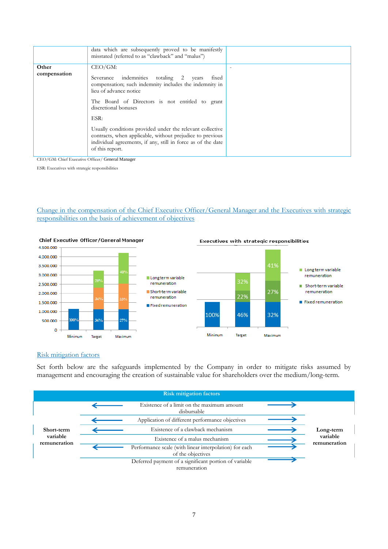|              | data which are subsequently proved to be manifestly<br>misstated (referred to as "clawback" and "malus")                                                                                                  |  |
|--------------|-----------------------------------------------------------------------------------------------------------------------------------------------------------------------------------------------------------|--|
| Other        | $CEO/GM$ :                                                                                                                                                                                                |  |
| compensation | Severance indemnities totaling 2<br>fixed<br>years<br>compensation; such indemnity includes the indemnity in<br>lieu of advance notice                                                                    |  |
|              | The Board of Directors is not entitled to grant<br>discretional bonuses                                                                                                                                   |  |
|              | ESR:                                                                                                                                                                                                      |  |
|              | Usually conditions provided under the relevant collective<br>contracts, when applicable, without prejudice to previous<br>individual agreements, if any, still in force as of the date<br>of this report. |  |

CEO/GM: Chief Executive Officer/ General Manager

ESR: Executives with strategic responsibilities

Change in the compensation of the Chief Executive Officer/General Manager and the Executives with strategic responsibilities on the basis of achievement of objectives



## Executives with strategic responsibilities

## Risk mitigation factors

Set forth below are the safeguards implemented by the Company in order to mitigate risks assumed by management and encouraging the creation of sustainable value for shareholders over the medium/long-term.

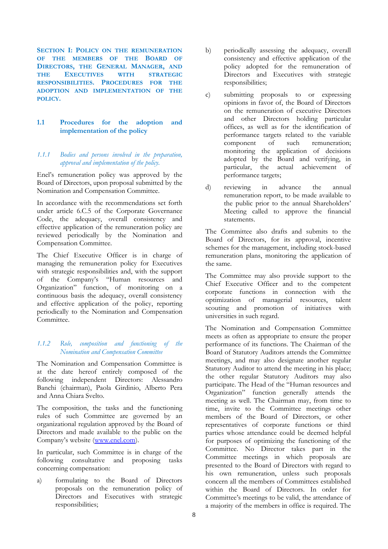<span id="page-7-0"></span>**SECTION I: POLICY ON THE REMUNERATION OF THE MEMBERS OF THE BOARD OF DIRECTORS, THE GENERAL MANAGER, AND THE EXECUTIVES WITH STRATEGIC RESPONSIBILITIES. PROCEDURES FOR THE ADOPTION AND IMPLEMENTATION OF THE POLICY.**

# <span id="page-7-1"></span>**1.1 Procedures for the adoption and implementation of the policy**

# <span id="page-7-2"></span>*1.1.1 Bodies and persons involved in the preparation, approval and implementation of the policy.*

Enel's remuneration policy was approved by the Board of Directors, upon proposal submitted by the Nomination and Compensation Committee.

In accordance with the recommendations set forth under article 6.C.5 of the Corporate Governance Code, the adequacy, overall consistency and effective application of the remuneration policy are reviewed periodically by the Nomination and Compensation Committee.

The Chief Executive Officer is in charge of managing the remuneration policy for Executives with strategic responsibilities and, with the support of the Company's "Human resources and Organization" function, of monitoring on a continuous basis the adequacy, overall consistency and effective application of the policy, reporting periodically to the Nomination and Compensation Committee.

# <span id="page-7-3"></span>*1.1.2 Role, composition and functioning of the Nomination and Compensation Committee*

The Nomination and Compensation Committee is at the date hereof entirely composed of the following independent Directors: Alessandro Banchi (chairman), Paola Girdinio, Alberto Pera and Anna Chiara Svelto.

The composition, the tasks and the functioning rules of such Committee are governed by an organizational regulation approved by the Board of Directors and made available to the public on the Company's website ([www.enel.com\)](http://www.enel.com/).

In particular, such Committee is in charge of the following consultative and proposing tasks concerning compensation:

a) formulating to the Board of Directors proposals on the remuneration policy of Directors and Executives with strategic responsibilities;

- b) periodically assessing the adequacy, overall consistency and effective application of the policy adopted for the remuneration of Directors and Executives with strategic responsibilities;
- c) submitting proposals to or expressing opinions in favor of, the Board of Directors on the remuneration of executive Directors and other Directors holding particular offices, as well as for the identification of performance targets related to the variable component of such remuneration; monitoring the application of decisions adopted by the Board and verifying, in particular, the actual achievement of performance targets;
- d) reviewing in advance the annual remuneration report, to be made available to the public prior to the annual Shareholders' Meeting called to approve the financial statements.

The Committee also drafts and submits to the Board of Directors, for its approval, incentive schemes for the management, including stock-based remuneration plans, monitoring the application of the same.

The Committee may also provide support to the Chief Executive Officer and to the competent corporate functions in connection with the optimization of managerial resources, talent scouting and promotion of initiatives with universities in such regard.

The Nomination and Compensation Committee meets as often as appropriate to ensure the proper performance of its functions. The Chairman of the Board of Statutory Auditors attends the Committee meetings, and may also designate another regular Statutory Auditor to attend the meeting in his place; the other regular Statutory Auditors may also participate. The Head of the "Human resources and Organization" function generally attends the meeting as well. The Chairman may, from time to time, invite to the Committee meetings other members of the Board of Directors, or other representatives of corporate functions or third parties whose attendance could be deemed helpful for purposes of optimizing the functioning of the Committee. No Director takes part in the Committee meetings in which proposals are presented to the Board of Directors with regard to his own remuneration, unless such proposals concern all the members of Committees established within the Board of Directors. In order for Committee's meetings to be valid, the attendance of a majority of the members in office is required. The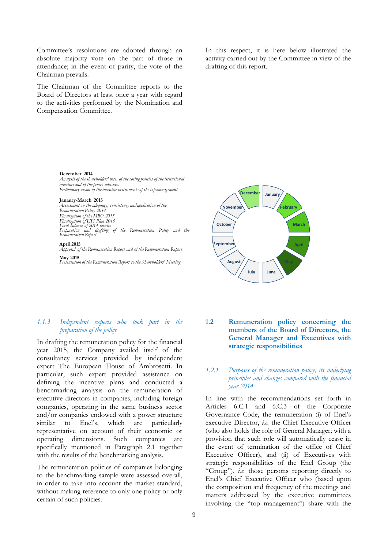Committee's resolutions are adopted through an absolute majority vote on the part of those in attendance; in the event of parity, the vote of the Chairman prevails.

The Chairman of the Committee reports to the Board of Directors at least once a year with regard to the activities performed by the Nomination and Compensation Committee.

In this respect, it is here below illustrated the activity carried out by the Committee in view of the drafting of this report.

#### **December 2014**

*Analysis of the shareholders' vote, of the voting policies of the istitutional investors and of the proxy advisors. Preliminary exam of the incentive instruments of the top management*

## **Janaury-March 2015**

*Assessment on the adequacy, consistency and application of the Remuneration Policy 2014 Finalization Discrement on the adequacy, con*<br> *Remuneration Policy 2014*<br> *Finalization of LTI Plan 2015*<br> *Finalization of LTI Plan 2015*<br> *Final balance of 2014 results*<br> *Peparation and drafting Preparation and drafting of the Remuneration Policy and the Remuneration Report*

# **April 2015**

*Approval o f the Remuneration Report and o f the Remuneration Report* **May 2015** *Presentation o f the Remuneration Report t o the Shareholders' Meeting*



# <span id="page-8-0"></span>*1.1.3 Independent experts who took part in the preparation of the policy*

In drafting the remuneration policy for the financial year 2015, the Company availed itself of the consultancy services provided by independent expert The European House of Ambrosetti. In particular, such expert provided assistance on defining the incentive plans and conducted a benchmarking analysis on the remuneration of executive directors in companies, including foreign companies, operating in the same business sector and/or companies endowed with a power structure similar to Enel's, which are particularly representative on account of their economic or operating dimensions. Such companies are specifically mentioned in Paragraph 2.1 together with the results of the benchmarking analysis.

The remuneration policies of companies belonging to the benchmarking sample were assessed overall, in order to take into account the market standard, without making reference to only one policy or only certain of such policies.

# <span id="page-8-1"></span>**1.2 Remuneration policy concerning the members of the Board of Directors, the General Manager and Executives with strategic responsibilities**

# <span id="page-8-2"></span>*1.2.1 Purposes of the remuneration policy, its underlying principles and changes compared with the financial year 2014*

In line with the recommendations set forth in Articles 6.C.1 and 6.C.3 of the Corporate Governance Code, the remuneration (i) of Enel's executive Director, *i.e.* the Chief Executive Officer (who also holds the role of General Manager; with a provision that such role will automatically cease in the event of termination of the office of Chief Executive Officer), and (ii) of Executives with strategic responsibilities of the Enel Group (the "Group"), *i.e.* those persons reporting directly to Enel's Chief Executive Officer who (based upon the composition and frequency of the meetings and matters addressed by the executive committees involving the "top management") share with the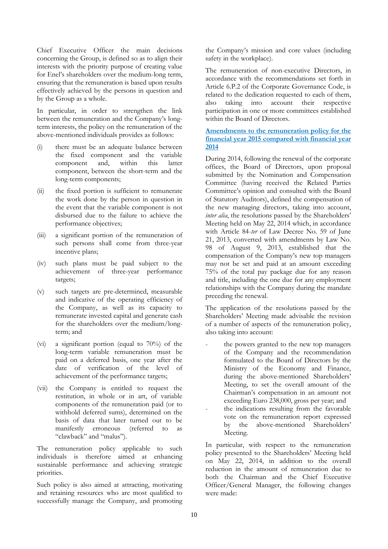Chief Executive Officer the main decisions concerning the Group, is defined so as to align their interests with the priority purpose of creating value for Enel's shareholders over the medium-long term, ensuring that the remuneration is based upon results effectively achieved by the persons in question and by the Group as a whole.

In particular, in order to strengthen the link between the remuneration and the Company's longterm interests, the policy on the remuneration of the above-mentioned individuals provides as follows:

- (i) there must be an adequate balance between the fixed component and the variable component and, within this latter component, between the short-term and the long-term components;
- (ii) the fixed portion is sufficient to remunerate the work done by the person in question in the event that the variable component is not disbursed due to the failure to achieve the performance objectives;
- (iii) a significant portion of the remuneration of such persons shall come from three-year incentive plans;
- (iv) such plans must be paid subject to the achievement of three-year performance targets;
- (v) such targets are pre-determined, measurable and indicative of the operating efficiency of the Company, as well as its capacity to remunerate invested capital and generate cash for the shareholders over the medium/longterm; and
- (vi) a significant portion (equal to 70%) of the long-term variable remuneration must be paid on a deferred basis, one year after the date of verification of the level of achievement of the performance targets;
- (vii) the Company is entitled to request the restitution, in whole or in art, of variable components of the remuneration paid (or to withhold deferred sums), determined on the basis of data that later turned out to be manifestly erroneous (referred to as "clawback" and "malus").

The remuneration policy applicable to such individuals is therefore aimed at enhancing sustainable performance and achieving strategic priorities.

Such policy is also aimed at attracting, motivating and retaining resources who are most qualified to successfully manage the Company, and promoting

the Company's mission and core values (including safety in the workplace).

The remuneration of non-executive Directors, in accordance with the recommendations set forth in Article 6.P.2 of the Corporate Governance Code, is related to the dedication requested to each of them, also taking into account their respective participation in one or more committees established within the Board of Directors.

# **Amendments to the remuneration policy for the financial year 2015 compared with financial year 2014**

During 2014, following the renewal of the corporate offices, the Board of Directors, upon proposal submitted by the Nomination and Compensation Committee (having received the Related Parties Committee's opinion and consulted with the Board of Statutory Auditors), defined the compensation of the new managing directors, taking into account, *inter alia*, the resolutions passed by the Shareholders' Meeting held on May 22, 2014 which, in accordance with Article 84-*ter* of Law Decree No. 59 of June 21, 2013, converted with amendments by Law No. 98 of August 9, 2013, established that the compensation of the Company's new top managers may not be set and paid at an amount exceeding 75% of the total pay package due for any reason and title, including the one due for any employment relationships with the Company during the mandate preceding the renewal.

The application of the resolutions passed by the Shareholders' Meeting made advisable the revision of a number of aspects of the remuneration policy, also taking into account:

- the powers granted to the new top managers of the Company and the recommendation formulated to the Board of Directors by the Ministry of the Economy and Finance, during the above-mentioned Shareholders' Meeting, to set the overall amount of the Chairman's compensation in an amount not exceeding Euro 238,000, gross per year; and
- the indications resulting from the favorable vote on the remuneration report expressed by the above-mentioned Shareholders' Meeting.

In particular, with respect to the remuneration policy presented to the Shareholders' Meeting held on May 22, 2014, in addition to the overall reduction in the amount of remuneration due to both the Chairman and the Chief Executive Officer/General Manager, the following changes were made: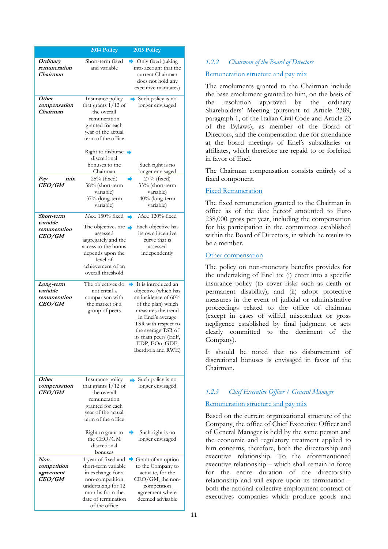|                                                         | 2014 Policy                                                                                                                                                                                            | 2015 Policy                                                                                                                                                                                                                                                    |
|---------------------------------------------------------|--------------------------------------------------------------------------------------------------------------------------------------------------------------------------------------------------------|----------------------------------------------------------------------------------------------------------------------------------------------------------------------------------------------------------------------------------------------------------------|
| Ordinary<br>remuneration<br>Chairman                    | Short-term fixed<br>and variable                                                                                                                                                                       | Only fixed (taking<br>into account that the<br>current Chairman<br>does not hold any<br>executive mandates)                                                                                                                                                    |
| Other<br>compensation<br>Chairman                       | Insurance policy<br>that grants $1/12$ of<br>the overall<br>remuneration<br>granted for each<br>year of the actual<br>term of the office<br>Right to disburse $\rightarrow$                            | $\rightarrow$ Such policy is no<br>longer envisaged                                                                                                                                                                                                            |
|                                                         | discretional<br>bonuses to the<br>Chairman                                                                                                                                                             | Such right is no<br>longer envisaged                                                                                                                                                                                                                           |
| mix<br>Pay<br><b>CEO/GM</b>                             | $25%$ (fixed)<br>38% (short-term<br>variable)<br>37% (long-term<br>variable)                                                                                                                           | 27% (fixed)<br>33% (short-term<br>variable)<br>40% (long-term<br>variable)                                                                                                                                                                                     |
| Short-term<br>variable<br>remuneration<br><b>CEO/GM</b> | Max. 150% fixed $\blacksquare$<br>The objectives are $\rightarrow$<br>assessed<br>aggregately and the<br>access to the bonus<br>depends upon the<br>level of<br>achievement of an<br>overall threshold | Max. 120% fixed<br>Each objective has<br>its own incentive<br>curve that is<br>assessed<br>independently                                                                                                                                                       |
| Long-term<br>variable<br>remuneration<br><b>CEO/GM</b>  | The objectives do<br>not entail a<br>comparison with<br>the market or a<br>group of peers                                                                                                              | $\rightarrow$ It is introduced an<br>objective (which has<br>an incidence of 60%<br>of the plan) which<br>measures the trend<br>in Enel's average<br>TSR with respect to<br>the average TSR of<br>its main peers (EdF,<br>EDP, EOn, GDF,<br>Iberdrola and RWE) |
| Other<br>compensation<br><i>CEO/GM</i>                  | Insurance policy<br>that grants $1/12$ of<br>the overall<br>remuneration<br>granted for each<br>year of the actual<br>term of the office                                                               | Such policy is no<br>longer envisaged                                                                                                                                                                                                                          |
|                                                         | Right to grant to<br>the CEO/GM<br>discretional<br>bonuses                                                                                                                                             | Such right is no<br>longer envisaged                                                                                                                                                                                                                           |
| Non-<br>competition<br>agreement<br><b>CEO/GM</b>       | 1 year of fixed and<br>short-term variable<br>in exchange for a<br>non-competition<br>undertaking for 12<br>months from the<br>date of termination<br>of the office                                    | Grant of an option<br>to the Company to<br>activate, for the<br>CEO/GM, the non-<br>competition<br>agreement where<br>deemed advisable                                                                                                                         |

# <span id="page-10-0"></span>*1.2.2 Chairman of the Board of Directors*

# Remuneration structure and pay mix

The emoluments granted to the Chairman include the base emolument granted to him, on the basis of the resolution approved by the ordinary Shareholders' Meeting (pursuant to Article 2389, paragraph 1, of the Italian Civil Code and Article 23 of the Bylaws), as member of the Board of Directors, and the compensation due for attendance at the board meetings of Enel's subsidiaries or affiliates, which therefore are repaid to or forfeited in favor of Enel.

The Chairman compensation consists entirely of a fixed component.

# Fixed Remuneration

The fixed remuneration granted to the Chairman in office as of the date hereof amounted to Euro 238,000 gross per year, including the compensation for his participation in the committees established within the Board of Directors, in which he results to be a member.

## Other compensation

The policy on non-monetary benefits provides for the undertaking of Enel to: (i) enter into a specific insurance policy (to cover risks such as death or permanent disability); and (ii) adopt protective measures in the event of judicial or administrative proceedings related to the office of chairman (except in cases of willful misconduct or gross negligence established by final judgment or acts clearly committed to the detriment of the Company).

It should be noted that no disbursement of discretional bonuses is envisaged in favor of the Chairman.

# <span id="page-10-1"></span>*1.2.3 Chief Executive Officer / General Manager*

# Remuneration structure and pay mix

Based on the current organizational structure of the Company, the office of Chief Executive Officer and of General Manager is held by the same person and the economic and regulatory treatment applied to him concerns, therefore, both the directorship and executive relationship. To the aforementioned executive relationship – which shall remain in force for the entire duration of the directorship relationship and will expire upon its termination – both the national collective employment contract of executives companies which produce goods and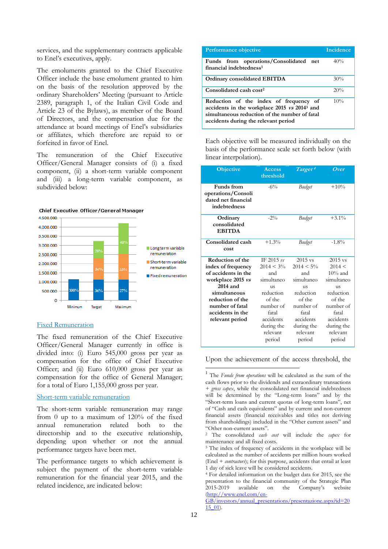services, and the supplementary contracts applicable to Enel's executives, apply.

The emoluments granted to the Chief Executive Officer include the base emolument granted to him on the basis of the resolution approved by the ordinary Shareholders' Meeting (pursuant to Article 2389, paragraph 1, of the Italian Civil Code and Article 23 of the Bylaws), as member of the Board of Directors, and the compensation due for the attendance at board meetings of Enel's subsidiaries or affiliates, which therefore are repaid to or forfeited in favor of Enel.

The remuneration of the Chief Executive Officer/General Manager consists of (i) a fixed component, (ii) a short-term variable component and (iii) a long-term variable component, as subdivided below:



## Fixed Remuneration

The fixed remuneration of the Chief Executive Officer/General Manager currently in office is divided into: (i) Euro 545,000 gross per year as compensation for the office of Chief Executive Officer; and (ii) Euro 610,000 gross per year as compensation for the office of General Manager; for a total of Euro 1,155,000 gross per year.

## Short-term variable remuneration

The short-term variable remuneration may range from 0 up to a maximum of 120% of the fixed annual remuneration related both to the directorship and to the executive relationship, depending upon whether or not the annual performance targets have been met.

The performance targets to which achievement is subject the payment of the short-term variable remuneration for the financial year 2015, and the related incidence, are indicated below:

| Performance objective                                                                                                                                                                       | Incidence |
|---------------------------------------------------------------------------------------------------------------------------------------------------------------------------------------------|-----------|
| Funds from operations/Consolidated net<br>financial indebtedness <sup>1</sup>                                                                                                               | 40%       |
| <b>Ordinary consolidated EBITDA</b>                                                                                                                                                         | 30%       |
| Consolidated cash cost <sup>2</sup>                                                                                                                                                         | 20%       |
| Reduction of the index of frequency of<br>accidents in the workplace 2015 vs 2014 <sup>3</sup> and<br>simultaneous reduction of the number of fatal<br>accidents during the relevant period | 10%       |

Each objective will be measured individually on the basis of the performance scale set forth below (with linear interpolation).

| <b>Objective</b>                                                               | <b>Access</b><br>threshold   | Target <sup>4</sup> | Over       |
|--------------------------------------------------------------------------------|------------------------------|---------------------|------------|
| <b>Funds</b> from<br>operations/Consoli<br>dated net financial<br>indebtedness | $-6\%$                       | Budget              | $+10%$     |
| Ordinary<br>consolidated<br><b>EBITDA</b>                                      | $-2\%$                       | Budget              | $+3.1%$    |
| Consolidated cash<br>cost                                                      | $+1.3%$                      | Budget              | $-1.8%$    |
| <b>Reduction of the</b>                                                        | IF $2015 \text{ } \text{ns}$ | $2015$ vs           | $2015$ vs  |
| index of frequency                                                             | $2014 < 3\%$                 | $2014 < 5\%$        | 2014 <     |
| of accidents in the                                                            | and                          | and                 | $10\%$ and |
| workplace 2015 vs                                                              | simultaneo                   | simultaneo          | simultaneo |
| $2014$ and                                                                     | <b>11S</b>                   | <b>11S</b>          | <b>11S</b> |
| simultaneous                                                                   | reduction                    | reduction           | reduction  |
| reduction of the                                                               | of the                       | of the              | of the     |
| number of fatal                                                                | number of                    | number of           | number of  |
| accidents in the                                                               | fatal                        | fatal               | fatal      |
| relevant period                                                                | accidents                    | accidents           | accidents  |
|                                                                                | during the                   | during the          | during the |
|                                                                                | relevant                     | relevant            | relevant   |
|                                                                                | period                       | period              | period     |

Upon the achievement of the access threshold, the

-

<sup>1</sup> The *Funds from operations* will be calculated as the sum of the cash flows prior to the dividends and extraordinary transactions + *gross capex*, while the consolidated net financial indebtedness will be determined by the "Long-term loans" and by the "Short-term loans and current quotas of long-term loans", net of "Cash and cash equivalents" and by current and non-current financial assets (financial receivables and titles not deriving from shareholdings) included in the "Other current assets" and "Other non-current assets".

<sup>2</sup> The consolidated *cash cost* will include the *capex* for maintenance and all fixed costs.

<sup>&</sup>lt;sup>3</sup> The index of frequency of accidents in the workplace will be calculated as the number of accidents per million hours worked (Enel + *contractors*); for this purpose, accidents that entail at least 1 day of sick leave will be considered accidents.

<sup>4</sup> For detailed information on the budget data for 2015, see the presentation to the financial community of the Strategic Plan 2015-2019 available on the Company's website [\(http://www.enel.com/en-](http://www.enel.com/en-GB/investors/annual_presentations/presentazione.aspx?id=2015_01)

[GB/investors/annual\\_presentations/presentazione.aspx?id=20](http://www.enel.com/en-GB/investors/annual_presentations/presentazione.aspx?id=2015_01) [15\\_01\)](http://www.enel.com/en-GB/investors/annual_presentations/presentazione.aspx?id=2015_01).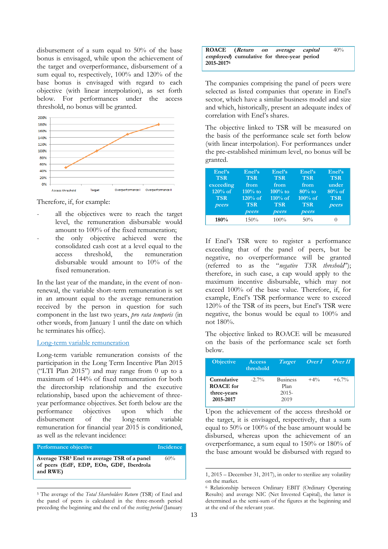disbursement of a sum equal to 50% of the base bonus is envisaged, while upon the achievement of the target and overperformance, disbursement of a sum equal to, respectively, 100% and 120% of the base bonus is envisaged with regard to each objective (with linear interpolation), as set forth below. For performances under the access threshold, no bonus will be granted.



Therefore, if, for example:

- all the objectives were to reach the target level, the remuneration disbursable would amount to 100% of the fixed remuneration;
- the only objective achieved were the consolidated cash cost at a level equal to the access threshold, the remuneration disbursable would amount to 10% of the fixed remuneration.

In the last year of the mandate, in the event of nonrenewal, the variable short-term remuneration is set in an amount equal to the average remuneration received by the person in question for such component in the last two years, *pro rata temporis* (in other words, from January 1 until the date on which he terminates his office).

# Long-term variable remuneration

Long-term variable remuneration consists of the participation in the Long Term Incentive Plan 2015 ("LTI Plan 2015") and may range from 0 up to a maximum of 144% of fixed remuneration for both the directorship relationship and the executive relationship, based upon the achievement of threeyear performance objectives. Set forth below are the performance objectives upon which the disbursement of the long-term variable remuneration for financial year 2015 is conditioned, as well as the relevant incidence:

#### **Performance objective Incidence**

 $\overline{a}$ 

**Average TSR<sup>5</sup> Enel vs average TSR of a panel of peers (EdF, EDP, EOn, GDF, Iberdrola and RWE)**  60%

| ROACE (Return on average capital                   |  |  | 40% |
|----------------------------------------------------|--|--|-----|
| <i>employed</i> ) cumulative for three-year period |  |  |     |
| 2015-20176                                         |  |  |     |

The companies comprising the panel of peers were selected as listed companies that operate in Enel's sector, which have a similar business model and size and which, historically, present an adequate index of correlation with Enel's shares.

The objective linked to TSR will be measured on the basis of the performance scale set forth below (with linear interpolation). For performances under the pre-established minimum level, no bonus will be granted.

| Enel's<br><b>TSR</b> | Enel's<br><b>TSR</b> | Enel's<br><b>TSR</b> | Enel's<br><b>TSR</b> | Enel's<br><b>TSR</b> |
|----------------------|----------------------|----------------------|----------------------|----------------------|
| exceeding            | from                 | from                 | from                 | under                |
| $120\%$ of           | $110\%$ to           | $100\%$ to           | $80%$ to             | $80\%$ of            |
| <b>TSR</b>           | $120%$ of            | $110\%$ of           | $100\%$ of           | <b>TSR</b>           |
| peers                | <b>TSR</b>           | <b>TSR</b>           | <b>TSR</b>           | peers                |
|                      | peers                | peers                | peers                |                      |
| 180%                 | 150%                 | 100%                 | 50%                  |                      |

If Enel's TSR were to register a performance exceeding that of the panel of peers, but be negative, no overperformance will be granted (referred to as the "*negative TSR threshold*"); therefore, in such case, a cap would apply to the maximum incentive disbursable, which may not exceed 100% of the base value. Therefore, if, for example, Enel's TSR performance were to exceed 120% of the TSR of its peers, but Enel's TSR were negative, the bonus would be equal to 100% and not 180%.

The objective linked to ROACE will be measured on the basis of the performance scale set forth below.

| <b>Objective</b>                                           | <b>Access</b><br>threshold | <b>Target</b>                               |        | $Over I$ Over II |
|------------------------------------------------------------|----------------------------|---------------------------------------------|--------|------------------|
| Cumulative<br><b>ROACE</b> for<br>three-years<br>2015-2017 | $-2.7\%$                   | <b>Business</b><br>Plan<br>$2015 -$<br>2019 | $+4\%$ | $+6.7\%$         |

Upon the achievement of the access threshold or the target, it is envisaged, respectively, that a sum equal to 50% or 100% of the base amount would be disbursed, whereas upon the achievement of an overperformance, a sum equal to 150% or 180% of the base amount would be disbursed with regard to

 $\overline{a}$ 

<sup>5</sup> The average of the *Total Shareholders Return* (TSR) of Enel and the panel of peers is calculated in the three-month period preceding the beginning and the end of the *vesting period* (January

<sup>1, 2015</sup> – December 31, 2017), in order to sterilize any volatility on the market.

<sup>6</sup> Relationship between Ordinary EBIT (Ordinary Operating Results) and average NIC (Net Invested Capital), the latter is determined as the semi-sum of the figures at the beginning and at the end of the relevant year.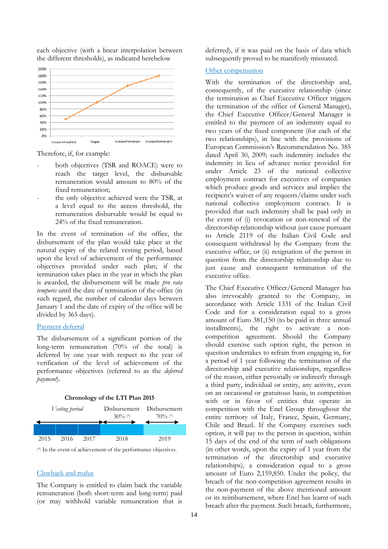each objective (with a linear interpolation between the different thresholds), as indicated herebelow



Therefore, if, for example:

- both objectives (TSR and ROACE) were to reach the target level, the disbursable remuneration would amount to 80% of the fixed remuneration;
- the only objective achieved were the TSR, at a level equal to the access threshold, the remuneration disbursable would be equal to 24% of the fixed remuneration.

In the event of termination of the office, the disbursement of the plan would take place at the natural expiry of the related vesting period, based upon the level of achievement of the performance objectives provided under such plan; if the termination takes place in the year in which the plan is awarded, the disbursement will be made *pro rata temporis* until the date of termination of the office (in such regard, the number of calendar days between January 1 and the date of expiry of the office will be divided by 365 days).

## Payment deferral

The disbursement of a significant portion of the long-term remuneration (70% of the total) is deferred by one year with respect to the year of verification of the level of achievement of the performance objectives (referred to as the *deferred payment*).



(\*) In the event of achievement of the performance objectives.

## Clawback and malus

The Company is entitled to claim back the variable remuneration (both short-term and long-term) paid (or may withhold variable remuneration that is

deferred), if it was paid on the basis of data which subsequently proved to be manifestly misstated.

## Other compensation

With the termination of the directorship and, consequently, of the executive relationship (since the termination as Chief Executive Officer triggers the termination of the office of General Manager), the Chief Executive Officer/General Manager is entitled to the payment of an indemnity equal to two years of the fixed component (for each of the two relationships), in line with the provisions of European Commission's Recommendation No. 385 dated April 30, 2009; such indemnity includes the indemnity in lieu of advance notice provided for under Article 23 of the national collective employment contract for executives of companies which produce goods and services and implies the recipient's waiver of any requests/claims under such national collective employment contract. It is provided that such indemnity shall be paid only in the event of (i) revocation or non-renewal of the directorship relationship without just cause pursuant to Article 2119 of the Italian Civil Code and consequent withdrawal by the Company from the executive office, or (ii) resignation of the person in question from the directorship relationship due to just cause and consequent termination of the executive office.

The Chief Executive Officer/General Manager has also irrevocably granted to the Company, in accordance with Article 1331 of the Italian Civil Code and for a consideration equal to a gross amount of Euro 381,150 (to be paid in three annual installments), the right to activate a noncompetition agreement. Should the Company should exercise such option right, the person in question undertakes to refrain from engaging in, for a period of 1 year following the termination of the directorship and executive relationships, regardless of the reason, either personally or indirectly through a third party, individual or entity, any activity, even on an occasional or gratuitous basis, in competition with or in favor of entities that operate in competition with the Enel Group throughout the entire territory of Italy, France, Spain, Germany, Chile and Brazil. If the Company exercises such option, it will pay to the person in question, within 15 days of the end of the term of such obligations (in other words, upon the expiry of 1 year from the termination of the directorship and executive relationships), a consideration equal to a gross amount of Euro 2,159,850. Under the policy, the breach of the non-competition agreement results in the non-payment of the above mentioned amount or its reimbursement, where Enel has learnt of such breach after the payment. Such breach, furthermore,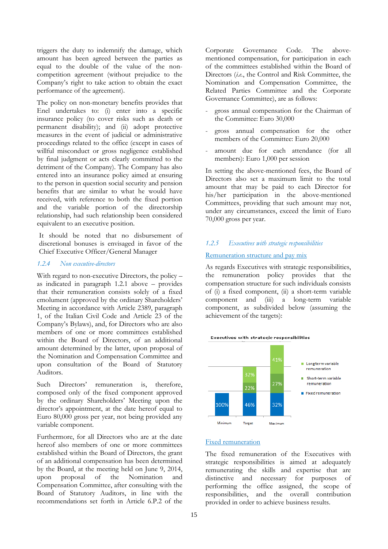triggers the duty to indemnify the damage, which amount has been agreed between the parties as equal to the double of the value of the noncompetition agreement (without prejudice to the Company's right to take action to obtain the exact performance of the agreement).

The policy on non-monetary benefits provides that Enel undertakes to: (i) enter into a specific insurance policy (to cover risks such as death or permanent disability); and (ii) adopt protective measures in the event of judicial or administrative proceedings related to the office (except in cases of willful misconduct or gross negligence established by final judgment or acts clearly committed to the detriment of the Company). The Company has also entered into an insurance policy aimed at ensuring to the person in question social security and pension benefits that are similar to what he would have received, with reference to both the fixed portion and the variable portion of the directorship relationship, had such relationship been considered equivalent to an executive position.

It should be noted that no disbursement of discretional bonuses is envisaged in favor of the Chief Executive Officer/General Manager

## <span id="page-14-0"></span>*1.2.4 Non executive-directors*

With regard to non-executive Directors, the policy – as indicated in paragraph 1.2.1 above – provides that their remuneration consists solely of a fixed emolument (approved by the ordinary Shareholders' Meeting in accordance with Article 2389, paragraph 1, of the Italian Civil Code and Article 23 of the Company's Bylaws), and, for Directors who are also members of one or more committees established within the Board of Directors, of an additional amount determined by the latter, upon proposal of the Nomination and Compensation Committee and upon consultation of the Board of Statutory Auditors.

Such Directors' remuneration is, therefore, composed only of the fixed component approved by the ordinary Shareholders' Meeting upon the director's appointment, at the date hereof equal to Euro 80,000 gross per year, not being provided any variable component.

Furthermore, for all Directors who are at the date hereof also members of one or more committees established within the Board of Directors, the grant of an additional compensation has been determined by the Board, at the meeting held on June 9, 2014, upon proposal of the Nomination and Compensation Committee, after consulting with the Board of Statutory Auditors, in line with the recommendations set forth in Article 6.P.2 of the

Corporate Governance Code. The abovementioned compensation, for participation in each of the committees established within the Board of Directors (*i.e.*, the Control and Risk Committee, the Nomination and Compensation Committee, the Related Parties Committee and the Corporate Governance Committee), are as follows:

- gross annual compensation for the Chairman of the Committee: Euro 30,000
- gross annual compensation for the other members of the Committee: Euro 20,000
- amount due for each attendance (for all members): Euro 1,000 per session

In setting the above-mentioned fees, the Board of Directors also set a maximum limit to the total amount that may be paid to each Director for his/her participation in the above-mentioned Committees, providing that such amount may not, under any circumstances, exceed the limit of Euro 70,000 gross per year.

## <span id="page-14-1"></span>*1.2.5 Executives with strategic responsibilities*

# Remuneration structure and pay mix

As regards Executives with strategic responsibilities, the remuneration policy provides that the compensation structure for such individuals consists of (i) a fixed component, (ii) a short-term variable component and (iii) a long-term variable component, as subdivided below (assuming the achievement of the targets):





# Fixed remuneration

The fixed remuneration of the Executives with strategic responsibilities is aimed at adequately remunerating the skills and expertise that are distinctive and necessary for purposes of performing the office assigned, the scope of responsibilities, and the overall contribution provided in order to achieve business results.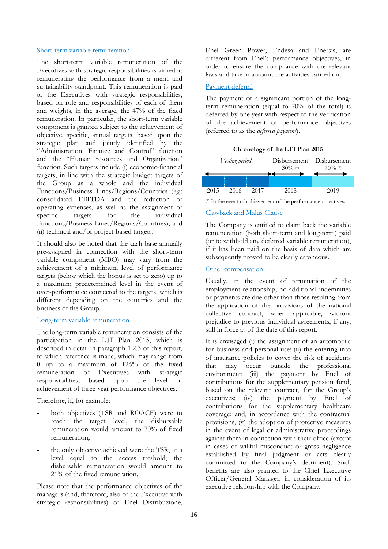## Short-term variable remuneration

The short-term variable remuneration of the Executives with strategic responsibilities is aimed at remunerating the performance from a merit and sustainability standpoint. This remuneration is paid to the Executives with strategic responsibilities, based on role and responsibilities of each of them and weights, in the average, the 47% of the fixed remuneration. In particular, the short-term variable component is granted subject to the achievement of objective, specific, annual targets, based upon the strategic plan and jointly identified by the "Administration, Finance and Control" function and the "Human resources and Organization" function. Such targets include (i) economic-financial targets, in line with the strategic budget targets of the Group as a whole and the individual Functions/Business Lines/Regions/Countries (*e.g.*: consolidated EBITDA and the reduction of operating expenses, as well as the assignment of specific targets for the individual Functions/Business Lines/Regions/Countries); and (ii) technical and/or project-based targets.

It should also be noted that the cash base annually pre-assigned in connection with the short-term variable component (MBO) may vary from the achievement of a minimum level of performance targets (below which the bonus is set to zero) up to a maximum predetermined level in the event of over-performance connected to the targets, which is different depending on the countries and the business of the Group.

## Long-term variable remuneration

The long-term variable remuneration consists of the participation in the LTI Plan 2015, which is described in detail in paragraph 1.2.3 of this report, to which reference is made, which may range from 0 up to a maximum of 126% of the fixed remuneration of Executives with strategic responsibilities, based upon the level of achievement of three-year performance objectives.

Therefore, if, for example:

- both objectives (TSR and ROACE) were to reach the target level, the disbursable remuneration would amount to 70% of fixed remuneration;
- the only objective achieved were the TSR, at a level equal to the access treshold, the disbursable remuneration would amount to 21% of the fixed remuneration.

Please note that the performance objectives of the managers (and, therefore, also of the Executive with strategic responsibilities) of Enel Distribuzione,

Enel Green Power, Endesa and Enersis, are different from Enel's performance objectives, in order to ensure the compliance with the relevant laws and take in account the activities carried out.

## Payment deferral

The payment of a significant portion of the longterm remuneration (equal to  $70\%$  of the total) is deferred by one year with respect to the verification of the achievement of performance objectives (referred to as the *deferred payment*).

## **Chronology of the LTI Plan 2015**



(\*) In the event of achievement of the performance objectives.

# Clawback and Malus Clause

The Company is entitled to claim back the variable remuneration (both short-term and long-term) paid (or to withhold any deferred variable remuneration), if it has been paid on the basis of data which are subsequently proved to be clearly erroneous.

# Other compensation

Usually, in the event of termination of the employment relationship, no additional indemnities or payments are due other than those resulting from the application of the provisions of the national collective contract, when applicable, without prejudice to previous individual agreements, if any, still in force as of the date of this report.

It is envisaged (i) the assignment of an automobile for business and personal use; (ii) the entering into of insurance policies to cover the risk of accidents that may occur outside the professional environment; (iii) the payment by Enel of contributions for the supplementary pension fund, based on the relevant contract, for the Group's executives; (iv) the payment by Enel of contributions for the supplementary healthcare coverage; and, in accordance with the contractual provisions, (v) the adoption of protective measures in the event of legal or administrative proceedings against them in connection with their office (except in cases of willful misconduct or gross negligence established by final judgment or acts clearly committed to the Company's detriment). Such benefits are also granted to the Chief Executive Officer/General Manager, in consideration of its executive relationship with the Company.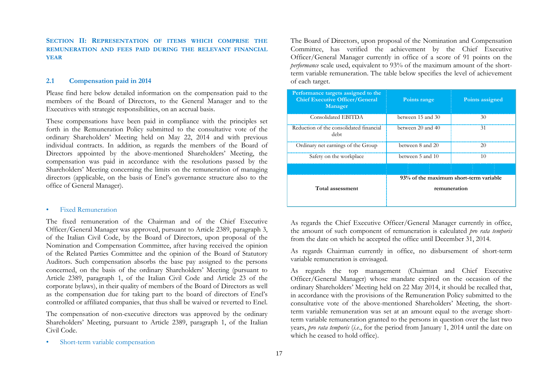**SECTION II: REPRESENTATION OF ITEMS WHICH COMPRISE THE REMUNERATION AND FEES PAID DURING THE RELEVANT FINANCIAL YEAR**

## **2.1 Compensation paid in 2014**

Please find here below detailed information on the compensation paid to the members of the Board of Directors, to the General Manager and to the Executives with strategic responsibilities, on an accrual basis.

These compensations have been paid in compliance with the principles set forth in the Remuneration Policy submitted to the consultative vote of the ordinary Shareholders' Meeting held on May 22, 2014 and with previous individual contracts. In addition, as regards the members of the Board of Directors appointed by the above-mentioned Shareholders' Meeting, the compensation was paid in accordance with the resolutions passed by the Shareholders' Meeting concerning the limits on the remuneration of managing directors (applicable, on the basis of Enel's governance structure also to the office of General Manager).

## <span id="page-16-0"></span>• Fixed Remuneration

<span id="page-16-1"></span>The fixed remuneration of the Chairman and of the Chief Executive Officer/General Manager was approved, pursuant to Article 2389, paragraph 3, of the Italian Civil Code, by the Board of Directors, upon proposal of the Nomination and Compensation Committee, after having received the opinion of the Related Parties Committee and the opinion of the Board of Statutory Auditors. Such compensation absorbs the base pay assigned to the persons concerned, on the basis of the ordinary Shareholders' Meeting (pursuant to Article 2389, paragraph 1, of the Italian Civil Code and Article 23 of the corporate bylaws), in their quality of members of the Board of Directors as well as the compensation due for taking part to the board of directors of Enel's controlled or affiliated companies, that thus shall be waived or reverted to Enel.

The compensation of non-executive directors was approved by the ordinary Shareholders' Meeting, pursuant to Article 2389, paragraph 1, of the Italian Civil Code.

The Board of Directors, upon proposal of the Nomination and Compensation Committee, has verified the achievement by the Chief Executive Officer/General Manager currently in office of a score of 91 points on the *performance* scale used, equivalent to 93% of the maximum amount of the shortterm variable remuneration. The table below specifies the level of achievement of each target.

| Performance targets assigned to the<br><b>Chief Executive Officer/General</b><br>Manager | Points range      | Points assigned                        |
|------------------------------------------------------------------------------------------|-------------------|----------------------------------------|
| Consolidated EBITDA                                                                      | between 15 and 30 | 30                                     |
| Reduction of the consolidated financial<br>debt                                          | between 20 and 40 | 31                                     |
| Ordinary net earnings of the Group                                                       | between 8 and 20  | 20                                     |
| Safety on the workplace                                                                  | between 5 and 10  | 10                                     |
|                                                                                          |                   |                                        |
|                                                                                          |                   | 93% of the maximum short-term variable |
| Total assessment                                                                         | remuneration      |                                        |

As regards the Chief Executive Officer/General Manager currently in office, the amount of such component of remuneration is calculated *pro rata temporis* from the date on which he accepted the office until December 31, 2014.

As regards Chairman currently in office, no disbursement of short-term variable remuneration is envisaged.

As regards the top management (Chairman and Chief Executive Officer/General Manager) whose mandate expired on the occasion of the ordinary Shareholders' Meeting held on 22 May 2014, it should be recalled that, in accordance with the provisions of the Remuneration Policy submitted to the consultative vote of the above-mentioned Shareholders' Meeting, the shortterm variable remuneration was set at an amount equal to the average shortterm variable remuneration granted to the persons in question over the last two years, *pro rata temporis* (*i.e.*, for the period from January 1, 2014 until the date on which he ceased to hold office).

• Short-term variable compensation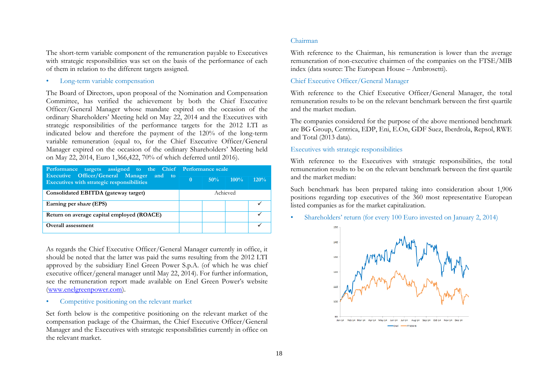The short-term variable component of the remuneration payable to Executives with strategic responsibilities was set on the basis of the performance of each of them in relation to the different targets assigned.

• Long-term variable compensation

The Board of Directors, upon proposal of the Nomination and Compensation Committee, has verified the achievement by both the Chief Executive Officer/General Manager whose mandate expired on the occasion of the ordinary Shareholders' Meeting held on May 22, 2014 and the Executives with strategic responsibilities of the performance targets for the 2012 LTI as indicated below and therefore the payment of the 120% of the long-term variable remuneration (equal to, for the Chief Executive Officer/General Manager expired on the occasion of the ordinary Shareholders' Meeting held on May 22, 2014, Euro 1,366,422, 70% of which deferred until 2016).

| Performance targets assigned to the Chief Performance scale<br>Executive Officer/General Manager and to |          |        |         |         |  |  |
|---------------------------------------------------------------------------------------------------------|----------|--------|---------|---------|--|--|
| Executives with strategic responsibilities                                                              | $\Omega$ | $50\%$ | $100\%$ | $120\%$ |  |  |
| Consolidated EBITDA (gateway target)                                                                    | Achieved |        |         |         |  |  |
| Earning per share (EPS)                                                                                 |          |        |         |         |  |  |
| Return on average capital employed (ROACE)                                                              |          |        |         |         |  |  |
| Overall assessment                                                                                      |          |        |         |         |  |  |

As regards the Chief Executive Officer/General Manager currently in office, it should be noted that the latter was paid the sums resulting from the 2012 LTI approved by the subsidiary Enel Green Power S.p.A. (of which he was chief executive officer/general manager until May 22, 2014). For further information, see the remuneration report made available on Enel Green Power's website [\(www.enelgreenpower.com\)](http://www.enelgreenpower.com/).

## Competitive positioning on the relevant market

Set forth below is the competitive positioning on the relevant market of the compensation package of the Chairman, the Chief Executive Officer/General Manager and the Executives with strategic responsibilities currently in office on the relevant market.

## Chairman

With reference to the Chairman, his remuneration is lower than the average remuneration of non-executive chairmen of the companies on the FTSE/MIB index (data source: The European House – Ambrosetti).

## Chief Executive Officer/General Manager

With reference to the Chief Executive Officer/General Manager, the total remuneration results to be on the relevant benchmark between the first quartile and the market median.

The companies considered for the purpose of the above mentioned benchmark are BG Group, Centrica, EDP, Eni, E.On, GDF Suez, Iberdrola, Repsol, RWE and Total (2013 data).

## Executives with strategic responsibilities

With reference to the Executives with strategic responsibilities, the total remuneration results to be on the relevant benchmark between the first quartile and the market median:

Such benchmark has been prepared taking into consideration about 1,906 positions regarding top executives of the 360 most representative European listed companies as for the market capitalization.

• Shareholders' return (for every 100 Euro invested on January 2, 2014)

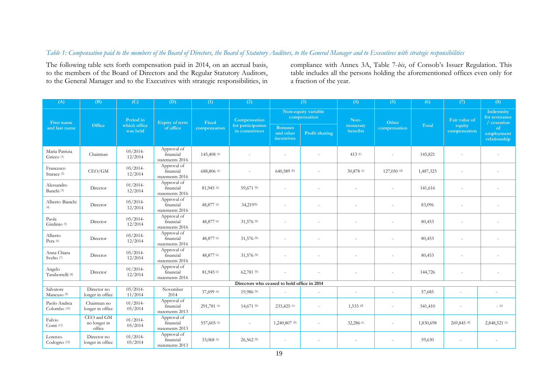# *Table 1: Compensation paid to the members of the Board of Directors, the Board of Statutory Auditors, to the General Manager and to Executives with strategic responsibilities*

The following table sets forth compensation paid in 2014, on an accrual basis, to the members of the Board of Directors and the Regular Statutory Auditors, to the General Manager and to the Executives with strategic responsibilities, in

compliance with Annex 3A, Table 7-*bis*, of Consob's Issuer Regulation. This table includes all the persons holding the aforementioned offices even only for a fraction of the year.

<span id="page-18-0"></span>

| (A)                                     | (B)                                  | (C)                      | (D)                                             | (1)          | (2)                                         |                                           | (3)            | (4)                      | (5)           | (6)       | (7)                    | (8)                                         |
|-----------------------------------------|--------------------------------------|--------------------------|-------------------------------------------------|--------------|---------------------------------------------|-------------------------------------------|----------------|--------------------------|---------------|-----------|------------------------|---------------------------------------------|
| <b>First name</b>                       |                                      | Period in                | Expiry of term                                  | Fixed        | Compensation                                | Non-equity variable<br>compensation       |                | Non-                     | Other         |           | Fair value of          | Indemnity<br>for severance<br>/ cessation   |
| and last name                           | Office                               | which office<br>was held | of office                                       | compensation | for participation<br>in committees          | <b>Bonuses</b><br>and other<br>incentives | Profit sharing | monetary<br>benefits     | compensation  | Total     | equity<br>compensation | <sub>of</sub><br>employment<br>relationship |
| Maria Patrizia<br>Grieco <sup>(1)</sup> | Chairman                             | $05/2014-$<br>12/2014    | Approval of<br>financial<br>statements 2016     | 145,408 (a)  |                                             |                                           |                | 413 $(c)$                |               | 145,821   |                        |                                             |
| Francesco<br>Starace <sup>(2)</sup>     | CEO/GM                               | $05/2014-$<br>12/2014    | Approval of<br>financial<br>statements 2016     | 688,806 (a)  |                                             | 640,589 (b)                               |                | 30,878 (c)               | 127,050 $(d)$ | 1,487,323 |                        |                                             |
| Alessandro<br>Banchi <sup>(3)</sup>     | Director                             | $01/2014-$<br>12/2014    | Approval of<br>financial<br>statements 2016     | 81,945 (a)   | 59,671 (b)                                  |                                           |                |                          |               | 141,616   |                        |                                             |
| Alberto Bianchi<br>(4)                  | Director                             | $05/2014-$<br>12/2014    | Approval of<br>financial<br>statements 2016     | 48,877 (a)   | 34,219 <sup>(b)</sup>                       |                                           |                |                          |               | 83,096    |                        |                                             |
| Paola<br>Girdinio <sup>(5)</sup>        | Director                             | $05/2014-$<br>12/2014    | Approval of<br>financial<br>statements 2016     | 48,877 (a)   | 31,576 (b)                                  | $\sim$                                    |                |                          |               | 80,453    |                        |                                             |
| Alberto<br>Pera (6)                     | Director                             | $05/2014-$<br>12/2014    | Approval of<br>financial<br>statements 2016     | 48,877 (a)   | 31,576 (b)                                  |                                           |                |                          |               | 80,453    |                        |                                             |
| Anna Chiara<br>Svelto (7)               | Director                             | $05/2014-$<br>12/2014    | Approval of<br>financial<br>statements 2016     | 48,877 (a)   | 31,576 (b)                                  | $\sim$                                    |                |                          | ÷.            | 80,453    |                        |                                             |
| Angelo<br>Taraborrelli <sup>(8)</sup>   | Director                             | $01/2014-$<br>12/2014    | Approval of<br>financial<br>statements $2016\,$ | 81,945 (a)   | 62,781 $(b)$                                |                                           |                |                          |               | 144,726   |                        |                                             |
|                                         |                                      |                          |                                                 |              | Directors who ceased to hold office in 2014 |                                           |                |                          |               |           |                        |                                             |
| Salvatore<br>Mancuso <sup>(9)</sup>     | Director no<br>longer in office      | $05/2014-$<br>11/2014    | November<br>2014                                | 37,699 (a)   | 19,986 (b)                                  | ٠                                         | ٠              | $\overline{\phantom{a}}$ | ٠             | 57,685    | $\sim$                 |                                             |
| Paolo Andrea<br>Colombo <sup>(10)</sup> | Chairman no<br>longer in office      | $01/2014$ -<br>05/2014   | Approval of<br>financial<br>statements 2013     | 291,781 (a)  | 14,671 $(b)$                                | 233,425 (c)                               |                | $1,533$ (d)              |               | 541,410   |                        | $(-$ (e)                                    |
| Fulvio<br>Conti <sup>(11)</sup>         | CEO and GM<br>no longer in<br>office | $01/2014-$<br>05/2014    | Approval of<br>financial<br>statements 2013     | 557,605 (a)  |                                             | 1,240,807 (b)                             |                | 32,286 (c)               | ٠             | 1,830,698 | 269,845 (d)            | 2,848,521 (e)                               |
| Lorenzo<br>Codogno <sup>(12)</sup>      | Director no<br>longer in office      | $01/2014$ -<br>05/2014   | Approval of<br>financial<br>statements 2013     | 33,068 (a)   | $26,562$ <sup>(b)</sup>                     | $\sim$                                    |                |                          |               | 59,630    |                        |                                             |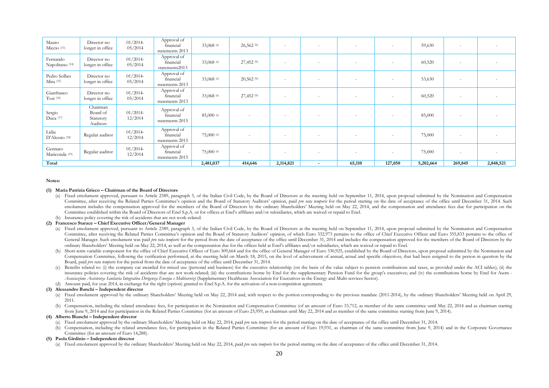| Mauro<br>Miccio <sup>(13)</sup>        | Director no<br>longer in office               | $01/2014-$<br>05/2014  | Approval of<br>financial<br>statements 2013 | 33,068 (a)   | $26,562$ (b) | $\sim$                   |                          |        | $\sim$  | 59,630    | $\sim$                   |           |
|----------------------------------------|-----------------------------------------------|------------------------|---------------------------------------------|--------------|--------------|--------------------------|--------------------------|--------|---------|-----------|--------------------------|-----------|
| Fernando<br>Napolitano <sup>(14)</sup> | Director no<br>longer in office               | $01/2014-$<br>05/2014  | Approval of<br>financial<br>statements2013  | 33,068 (a)   | 27,452 (b)   | $\overline{\phantom{a}}$ |                          |        | $\sim$  | 60,520    | $\sim$                   |           |
| Pedro Solbes<br>$Mira$ (15)            | Director no<br>longer in office               | $01/2014-$<br>05/2014  | Approval of<br>financial<br>statements 2013 | 33,068 (a)   | $20,562$ (b) | $\sim$                   |                          |        | $\sim$  | 53,630    | $\sim$                   |           |
| Gianfranco<br>$T$ osi (16)             | Director no<br>longer in office               | $01/2014-$<br>05/2014  | Approval of<br>financial<br>statements 2013 | 33,068 (a)   | $27,452$ (b) | $\sim$                   |                          | . .    | $\sim$  | 60,520    | $\sim$                   |           |
| Sergio<br>Duca (17)                    | Chairman<br>Board of<br>Statutory<br>Auditors | $01/2014$ -<br>12/2014 | Approval of<br>financial<br>statements 2015 | 85,000 (a)   |              | $\sim$                   |                          |        | $\sim$  | 85,000    | $\sim$                   |           |
| Lidia<br>D'Alessio <sup>(18)</sup>     | Regular auditor                               | $01/2014-$<br>12/2014  | Approval of<br>financial<br>statements 2015 | $75,000$ (a) |              | $\overline{\phantom{a}}$ | $\overline{\phantom{a}}$ |        | $\sim$  | 75,000    | $\overline{\phantom{a}}$ |           |
| Gennaro<br>Mariconda <sup>(19)</sup>   | Regular auditor                               | $01/2014-$<br>12/2014  | Approval of<br>financial<br>statements 2015 | $75,000$ (a) |              | $\overline{\phantom{a}}$ |                          |        | $\sim$  | 75,000    | $\sim$                   |           |
| Total                                  |                                               |                        |                                             | 2,481,037    | 414,646      | 2,114,821                | $\blacksquare$           | 65,110 | 127,050 | 5,202,664 | 269,845                  | 2,848,521 |

#### **Notes:**

#### **(1) Maria Patrizia Grieco – Chairman of the Board of Directors**

- (a) Fixed emolument approved, pursuant to Article 2389, paragraph 3, of the Italian Civil Code, by the Board of Directors at the meeting held on September 11, 2014, upon proposal submitted by the Nomination and Compensatio Committee, after receiving the Related Parties Committee's opinion and the Board of Statutory Auditors' opinion, paid *bro rata temboris* for the period starting on the date of acceptance of the office until December 31, 2 emolument includes the compensation approved for the members of the Board of Directors by the ordinary Shareholders' Meeting held on May 22, 2014, and the compensation and attendance fees due for participation on the Committee established within the Board of Directors of Enel S.p.A. or for offices at Enel's affiliates and/or subsidiaries, which are waived or repaid to Enel.
- (b) Insurance policy covering the risk of accidents that are not work-related.

#### **(2) Francesco Starace – Chief Executive Officer/General Manager**

- (a) Fixed emolument approved, pursuant to Article 2389, paragraph 3, of the Italian Civil Code, by the Board of Directors at the meeting held on September 11, 2014, upon proposal submitted by the Nomination and Compensatio Committee, after receiving the Related Parties Committee's opinion and the Board of Statutory Auditors' opinion, of which Euro 332,973 pertains to the office of Chief Executive Officer and Euro 355,833 pertains to the offi General Manager. Such emolument was paid *pro rata temporis* for the period from the date of acceptance of the office until December 31, 2014 and includes the compensation approved for the members of the Board of Directors ordinary Shareholders' Meeting held on May 22, 2014, as well as the compensation due for the offices held at Enel's affiliates and/or subsidiaries, which are waived or repaid to Enel.
- (b) Short-term variable component for the office of Chief Executive Officer of Euro 309,664 and for the office of General Manager of Euro 330,925, established by the Board of Directors, upon proposal submitted by the Nomin Compensation Committee, following the verification performed, at the meeting held on March 18, 2015, on the level of achievement of annual, actual and specific objectives, that had been assigned to the person in question b Board, paid *pro rata temporis* for the period from the date of acceptance of the office until December 31, 2014.
- Benefits related to: (i) the company car awarded for mixed use (personal and business) for the executive relationship (on the basis of the value subject to pension contributions and taxes, as provided under the ACI tables) insurance policies covering the risk of accidents that are not work-related; (iii) the contributions borne by Enel for the supplementary Pension Fund for the group's executives; and (iv) the contributions borne by Enel for *Associazione Assistenza Sanitaria Integrativa Dirigenza Energia e Multiservizi* (Supplementary Healthcare Association for Executives in the Energy and Multi-services Sector).
- (d) Amount paid, for year 2014, in exchange for the right (option) granted to Enel S.p.A. for the activation of a non-competition agreement.

#### **(3) Alessandro Banchi – Independent director**

- (a) Fixed emolument approved by the ordinary Shareholders' Meeting held on May 22, 2014 and, with respect to the portion corresponding to the previous mandate (2011-2014), by the ordinary Shareholders' Meeting held on Apri 2011.
- (b) Compensation, including the related attendance fees, for participation in the Nomination and Compensation Committee (of an amount of Euro 33,712, as member of the same committee until May 22, 2014 and as chairman start from June 9, 2014 and for participation in the Related Parties Committee (for an amount of Euro 25,959, as chairman until May 22, 2014 and as member of the same committee starting from June 9, 2014).

#### **(4) Alberto Bianchi – Independent director**

- (a) Fixed emolument approved by the ordinary Shareholders' Meeting held on May 22, 2014, paid *pro rata temporis* for the period starting on the date of acceptance of the office until December 31, 2014.
- (b) Compensation, including the related attendance fees, for participation in the Related Parties Committee (for an amount of Euro 19,931, as chairman of the same committee from June 9, 2014) and in the Corporate Governanc Committee (for an amount of Euro 14,288).

#### **(5) Paola Girdinio – Independent director**

(a) Fixed emolument approved by the ordinary Shareholders' Meeting held on May 22, 2014, paid *pro rata temporis* for the period starting on the date of acceptance of the office until December 31, 2014.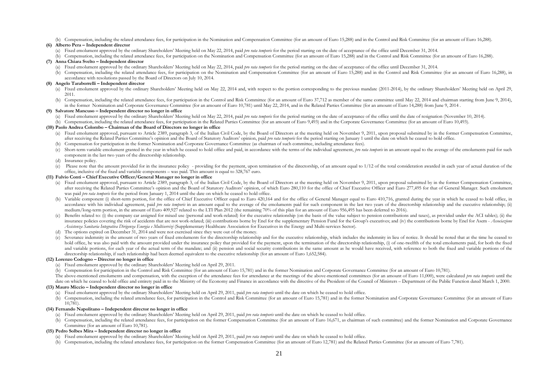(b) Compensation, including the related attendance fees, for participation in the Nomination and Compensation Committee (for an amount of Euro 15,288) and in the Control and Risk Committee (for an amount of Euro 16,288).

#### **(6) Alberto Pera – Independent director**

- (a) Fixed emolument approved by the ordinary Shareholders' Meeting held on May 22, 2014, paid *pro rata temporis* for the period starting on the date of acceptance of the office until December 31, 2014.
- (b) Compensation, including the related attendance fees, for participation on the Nomination and Compensation Committee (for an amount of Euro 15,288) and in the Control and Risk Committee (for an amount of Euro 16,288).

#### **(7) Anna Chiara Svelto – Independent director**

- (a) Fixed emolument approved by the ordinary Shareholders' Meeting held on May 22, 2014, paid *pro rata temporis* for the period starting on the date of acceptance of the office until December 31, 2014.
- (b) Compensation, including the related attendance fees, for participation on the Nomination and Compensation Committee (for an amount of Euro 15,288) and in the Control and Risk Committee (for an amount of Euro 16,288), i accordance with resolutions passed by the Board of Directors on July 10, 2014.

#### **(8) Angelo Taraborrelli – Independent director**

- (a) Fixed emolument approved by the ordinary Shareholders' Meeting held on May 22, 2014 and, with respect to the portion corresponding to the previous mandate (2011-2014), by the ordinary Shareholders' Meeting held on Apri 2011.
- (b) Compensation, including the related attendance fees, for participation in the Control and Risk Committee (for an amount of Euro 37,712 as member of the same committee until May 22, 2014 and chairman starting from June in the former Nomination and Corporate Governance Committee (for an amount of Euro 10,781) until May 22, 2014, and in the Related Parties Committee (for an amount of Euro 14,288) from June 9, 2014.

#### **(9) Salvatore Mancuso – Independent director no longer in office**

(a) Fixed emolument approved by the ordinary Shareholders' Meeting held on May 22, 2014, paid pro rata temporis for the period starting on the date of acceptance of the office until the date of resignation (November 10, 20 (b) Compensation, including the related attendance fees, for participation in the Related Parties Committee (for an amount of Euro 9,493) and in the Corporate Governance Committee (for an amount of Euro 10,493).

#### **(10) Paolo Andrea Colombo – Chairman of the Board of Directors no longer in office**

- (a) Fixed emolument approved, pursuant to Article 2389, paragraph 3, of the Italian Civil Code, by the Board of Directors at the meeting held on November 9, 2011, upon proposal submitted by in the former Compensation Commi after receiving the Related Parties Committee's opinion and the Board of Statutory Auditors' opinion, paid *pro rata temporis* for the period starting on January 1 until the date on which he ceased to hold office.
- (b) Compensation for participation in the former Nomination and Corporate Governance Committee (as chairman of such committee, including attendance fees).
- (c) Short-term variable emolument granted in the year in which he ceased to hold office and paid, in accordance with the terms of the individual agreement, *bro rata temboris* in an amount equal to the average of the emolu component in the last two years of the directorship relationship.
- (d) Insurance policy.
- (e) Please note that the amount provided for in the insurance policy providing for the payment, upon termination of the directorship, of an amount equal to 1/12 of the total consideration awarded in each year of actual d office, inclusive of the fixed and variable components – was paid. This amount is equal to 328,767 euro.

#### **(11) Fulvio Conti – Chief Executive Officer/General Manager no longer in office**

- (a) Fixed emolument approved, pursuant to Article 2389, paragraph 3, of the Italian Civil Code, by the Board of Directors at the meeting held on November 9, 2011, upon proposal submitted by in the former Compensation Commi after receiving the Related Parties Committee's opinion and the Board of Statutory Auditors' opinion, of which Euro 280,110 for the office of Chief Executive Officer and Euro 277,495 for that of General Manager. Such emolu was paid *pro rata temporis* for the period from January 1, 2014 until the date on which he ceased to hold office.
- (b) Variable component (i) short-term portion, for the office of Chief Executive Officer equal to Euro 420,164 and for the office of General Manager equal to Euro 410,716, granted during the year in which he ceased to hold accordance with his individual agreement, paid *pro rata temporis* in an amount equal to the average of the emoluments paid for such component in the last two years of the directorship relationship and the executive relati medium/long-term portion, in the amount of Euro 409,927 related to the LTI Plan 2012 (the remaining 70% of this plan for an amount of Euro 956,495 has been deferred to 2016).
- Benefits related to: (i) the company car assigned for mixed use (personal and work-related) for the executive relationship (on the basis of the value subject to pension contributions and taxes), as provided under the ACI t insurance policies covering the risk of accidents that are not work-related; (iii) contributions borne by Enel for the supplementary Pension Fund for the Group's executives; and (iv) the contributions borne by Enel for Ase *Assistenza Sanitaria Integrativa Dirigenza Energia e Multiservizi* (Supplementary Healthcare Association for Executives in the Energy and Multi-services Sector).
- The options expired on December 31, 2014 and were not exercised since they were out of the money.
- (e) Severance indemnity in the amount of two years of fixed emoluments for the directorship relationship and for the executive relationship, which includes the indemnity in lieu of notice. It should be noted that at the ti hold office, he was also paid with the amount provided under the insurance policy that provided for the payment, upon the termination of the directorship relationship, (i) of one-twelfth of the total emoluments paid, for b and variable portions, for each year of the actual term of the mandate; and (ii) pension and social security contributions in the same amount as he would have received, with reference to both the fixed and variable portion directorship relationship, if such relationship had been deemed equivalent to the executive relationship (for an amount of Euro 1,652,584).

#### **(12) Lorenzo Codogno – Director no longer in office**

- (a) Fixed emolument approved by the ordinary Shareholders' Meeting held on April 29, 2011.
- (b) Compensation for participation in the Control and Risk Committee (for an amount of Euro 15,781) and in the former Nomination and Corporate Governance Committee (for an amount of Euro 10,781).

The above-mentioned emoluments and compensation, with the exception of the attendance fees for attendance at the meetings of the above-mentioned committees (for an amount of Euro 11,000), were calculated pro rata temporis date on which he ceased to hold office and entirety paid in to the Ministry of the Economy and Finance in accordance with the directive of the President of the Council of Ministers - Department of the Public Function dated

#### **(13) Mauro Miccio – Independent director no longer in office**

- (a) Fixed emolument approved by the ordinary Shareholders' Meeting held on April 29, 2011, paid *pro rata temporis* until the date on which he ceased to hold office.
- (b) Compensation, including the related attendance fees, for participation in the Control and Risk Committee (for an amount of Euro 15,781) and in the former Nomination and Corporate Governance Committee (for an amount of 10,781).

#### **(14) Fernando Napolitano – Independent director no longer in office**

- (a) Fixed emolument approved by the ordinary Shareholders' Meeting held on April 29, 2011, paid *pro rata temporis* until the date on which he ceased to hold office.
- (b) Compensation, including the related attendance fees, for participation on the former Compensation Committee (for an amount of Euro 16,671, as chairman of such committee) and the former Nomination and Corporate Governan Committee (for an amount of Euro 10,781).

#### **(15) Pedro Solbes Mira – Independent director no longer in office**

- (a) Fixed emolument approved by the ordinary Shareholders' Meeting held on April 29, 2011, paid *pro rata temporis* until the date on which he ceased to hold office.
- (b) Compensation, including the related attendance fees, for participation on the former Compensation Committee (for an amount of Euro 12,781) and the Related Parties Committee (for an amount of Euro 7,781).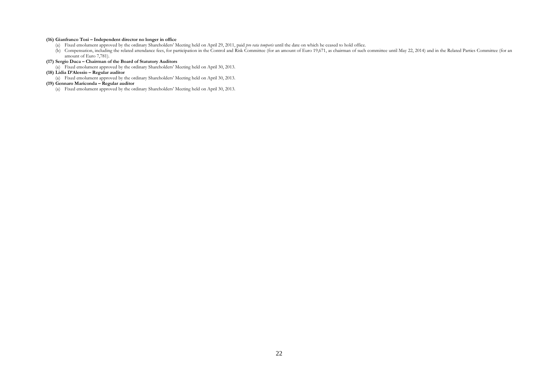#### **(16) Gianfranco Tosi – Independent director no longer in office**

- (a) Fixed emolument approved by the ordinary Shareholders' Meeting held on April 29, 2011, paid *pro rata temporis* until the date on which he ceased to hold office.
- (b) Compensation, including the related attendance fees, for participation in the Control and Risk Committee (for an amount of Euro 19,671, as chairman of such committee until May 22, 2014) and in the Related Parties Commi amount of Euro 7,781).

#### **(17) Sergio Duca – Chairman of the Board of Statutory Auditors**

(a) Fixed emolument approved by the ordinary Shareholders' Meeting held on April 30, 2013.

#### **(18) Lidia D'Alessio – Regular auditor**

(a) Fixed emolument approved by the ordinary Shareholders' Meeting held on April 30, 2013.

## **(19) Gennaro Mariconda – Regular auditor**

(a) Fixed emolument approved by the ordinary Shareholders' Meeting held on April 30, 2013.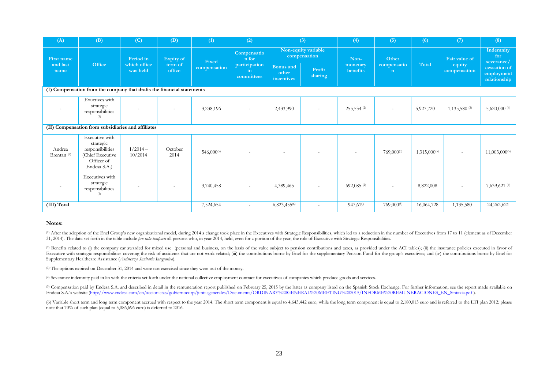| (A)                                                                    | (B)                                                                                               | (C)                                   | (D)                            | (1)                    | (2)                                                                  |                                     | (3)                      |                          | (5)                        | (6)               | (7)                      | (8)                                        |
|------------------------------------------------------------------------|---------------------------------------------------------------------------------------------------|---------------------------------------|--------------------------------|------------------------|----------------------------------------------------------------------|-------------------------------------|--------------------------|--------------------------|----------------------------|-------------------|--------------------------|--------------------------------------------|
| First name                                                             | Office                                                                                            | Period in<br>which office<br>was held | Expiry of<br>term of<br>office | Fixed<br>compensation  | Compensatio<br>n for<br>participation<br>$\mathbf{in}$<br>committees | Non-equity variable<br>compensation |                          | Non-                     | Other                      |                   | Fair value of            | Indemnity<br>for<br>severance/             |
| and last<br>name                                                       |                                                                                                   |                                       |                                |                        |                                                                      | Bonus and<br>other<br>incentives    | Profit<br>sharing        | monetary<br>benefits     | compensatio<br>$\mathbf n$ | Total             | equity<br>compensation   | cessation of<br>employment<br>relationship |
| (I) Compensation from the company that drafts the financial statements |                                                                                                   |                                       |                                |                        |                                                                      |                                     |                          |                          |                            |                   |                          |                                            |
|                                                                        | Exuctives with<br>strategic<br>responsibilities<br>(1)                                            |                                       |                                | 3,238,196              |                                                                      | 2,433,990                           |                          | $255,534$ (2)            |                            | 5,927,720         | $1,135,580$ (3)          | 5,620,000 $(4)$                            |
|                                                                        | (II) Compensation from subsidiaries and affiliates                                                |                                       |                                |                        |                                                                      |                                     |                          |                          |                            |                   |                          |                                            |
| Andrea<br>Brentan <sup>(6)</sup>                                       | Executive with<br>strategic<br>responsibilities<br>(Chief Executive<br>Officer of<br>Endesa S.A.) | $1/2014-$<br>10/2014                  | October<br>2014                | 546,000 <sup>(5)</sup> | $\overline{a}$                                                       | $\overline{\phantom{a}}$            |                          |                          | $769,000^{(5)}$            | $1,315,000^{(5)}$ | $\overline{\phantom{a}}$ | 11,003,000(5)                              |
|                                                                        | Executives with<br>strategic<br>responsibilities<br>(1)                                           |                                       |                                | 3,740,458              |                                                                      | 4,389,465                           |                          | $692,085$ <sup>(2)</sup> | ٠                          | 8,822,008         | $\overline{\phantom{a}}$ | 7,639,621 (4)                              |
| (III) Total                                                            |                                                                                                   |                                       |                                | 7,524,654              | $\overline{\phantom{a}}$                                             | 6,823,455 <sup>(6)</sup>            | $\overline{\phantom{a}}$ | 947,619                  | $769,000^{(5)}$            | 16,064,728        | 1,135,580                | 24,262,621                                 |

#### **Notes:**

(1) After the adoption of the Enel Group's new organizational model, during 2014 a change took place in the Executives with Strategic Responsibilities, which led to a reduction in the number of Executives from 17 to 11 (el 31, 2014). The data set forth in the table include *pro rata temporis* all persons who, in year 2014, held, even for a portion of the year, the role of Executive with Strategic Responsibilities.

(2) Benefits related to (i) the company car awarded for mixed use (personal and business, on the basis of the value subject to pension contributions and taxes, as provided under the ACI tables); (ii) the insurance policies Executive with strategic responsibilities covering the risk of accidents that are not work-related; (iii) the contributions borne by Enel for the supplementary Pension Fund for the group's executives; and (iv) the contribu Supplementary Healthcare Assistance (*Assistenza Sanitaria Integrativa*).

(3) The options expired on December 31, 2014 and were not exercised since they were out of the money.

(4) Severance indemnity paid in lin with the criteria set forth under the national collective employment contract for executives of companies which produce goods and services.

(5) Compensation paid by Endesa S.A. and described in detail in the remuneration report published on February 25, 2015 by the latter as company listed on the Spanish Stock Exchange. For further information, see the report Endesa S.A.'s website [\(http://www.endesa.com/en/accionistas/gobiernocorp/juntasgenerales/Documents/ORDINARY%20GENERAL%20MEETING%202015/INFORME%20REMUNERACIONES\\_EN\\_Sintaxia.pdf](http://www.endesa.com/en/accionistas/gobiernocorp/juntasgenerales/Documents/ORDINARY%20GENERAL%20MEETING%202015/INFORME%20REMUNERACIONES_EN_Sintaxia.pdf) ).

(6) Variable short term and long term component accrued with respect to the year 2014. The short term component is equal to 4,643,442 euro, while the long term component is equal to 2,180,013 euro and is referred to the LT note that 70% of such plan (equal to 5,086,696 euro) is deferred to 2016.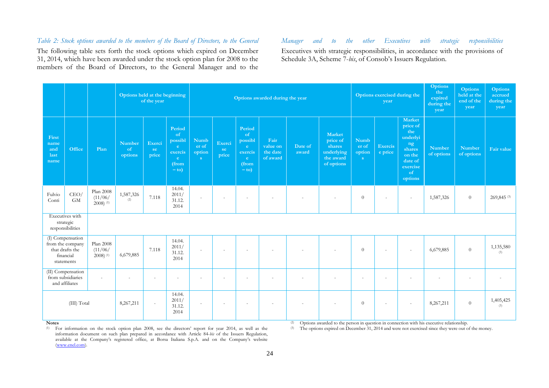# *Table 2: Stock options awarded to the members of the Board of Directors, to the General Manager and to the other Executives with strategic responsibilities*

The following table sets forth the stock options which expired on December 31, 2014, which have been awarded under the stock option plan for 2008 to the members of the Board of Directors, to the General Manager and to the

Executives with strategic responsibilities, in accordance with the provisions of Schedule 3A, Scheme 7-*bis*, of Consob's Issuers Regulation.

<span id="page-23-0"></span>

|                                      |                                                                                    |                                                 | Options held at the beginning | of the year           |                                                                    |                                     | Options awarded during the year |                                                                    |                                          |                  |                                                                              | Options exercised during the<br>year |                           |                                                                                                         | <b>Options</b><br>the<br>expired<br>during the<br>year | <b>Options</b><br>held at the<br>end of the<br>year | <b>Options</b><br>accrued<br>during the<br>year |
|--------------------------------------|------------------------------------------------------------------------------------|-------------------------------------------------|-------------------------------|-----------------------|--------------------------------------------------------------------|-------------------------------------|---------------------------------|--------------------------------------------------------------------|------------------------------------------|------------------|------------------------------------------------------------------------------|--------------------------------------|---------------------------|---------------------------------------------------------------------------------------------------------|--------------------------------------------------------|-----------------------------------------------------|-------------------------------------------------|
| First<br>name<br>and<br>last<br>name | Office                                                                             | Plan                                            | Number<br>of<br>options       | Exerci<br>se<br>price | Period<br>of<br>possibl<br>e.<br>exercis<br>e.<br>(from<br>$-$ to) | <b>Numb</b><br>er of<br>option<br>S | Exerci<br>se<br>price           | Period<br>of<br>possibl<br>e.<br>exercis<br>e.<br>(from<br>$-$ to) | Fair<br>value on<br>the date<br>of award | Date of<br>award | <b>Market</b><br>price of<br>shares<br>underlying<br>the award<br>of options | Numb<br>er of<br>option<br>S         | <b>Exercis</b><br>e price | Market<br>price of<br>the<br>underlyi<br>ng<br>shares<br>on the<br>date of<br>exercise<br>of<br>options | <b>Number</b><br>of options                            | <b>Number</b><br>of options                         | Fair value                                      |
| Fulvio<br>Conti                      | CEO/<br><b>GM</b>                                                                  | Plan 2008<br>(11/06)<br>$2008$ ) <sup>(1)</sup> | 1,587,326<br>(2)              | 7.118                 | 14.04.<br>2011/<br>31.12.<br>2014                                  | $\sim$                              | $\sim$                          | $\sim$                                                             | $\sim$                                   |                  |                                                                              | $\theta$                             | ÷.                        | $\sim$                                                                                                  | 1,587,326                                              | $\theta$                                            | 269,845(3)                                      |
|                                      | Executives with<br>strategic<br>responsibilities                                   |                                                 |                               |                       |                                                                    |                                     |                                 |                                                                    |                                          |                  |                                                                              |                                      |                           |                                                                                                         |                                                        |                                                     |                                                 |
|                                      | (I) Compensation<br>from the company<br>that drafts the<br>financial<br>statements | Plan 2008<br>(11/06)<br>$2008$ <sup>(1)</sup>   | 6,679,885                     | 7.118                 | 14.04.<br>2011/<br>31.12.<br>2014                                  | $\sim$                              | $\overline{\phantom{a}}$        | $\sim$                                                             |                                          |                  |                                                                              | $\theta$                             | $\sim$                    | $\sim$                                                                                                  | 6,679,885                                              | $\theta$                                            | 1,135,580<br>(3)                                |
|                                      | (II) Compensation<br>from subsidiaries<br>and affiliates                           | $\sim$                                          | $\sim$                        | $\sim$                | $\sim$                                                             | $\overline{a}$                      | $\sim$                          | $\sim$                                                             | $\sim$                                   | ٠                | $\overline{a}$                                                               | $\overline{a}$                       | $\sim$                    | $\sim$                                                                                                  |                                                        | $\overline{\phantom{a}}$                            |                                                 |
| (III) Total                          |                                                                                    |                                                 | 8,267,211                     | $\sim$                | 14.04.<br>2011/<br>31.12.<br>2014                                  | $\sim$                              | $\sim$                          | $\overline{\phantom{a}}$                                           | $\sim$                                   | $\sim$           |                                                                              | $\theta$                             | $\sim$                    | $\sim$                                                                                                  | 8,267,211                                              | $\theta$                                            | 1,405,425<br>(3)                                |

#### **Notes**

(1) For information on the stock option plan 2008, see the directors' report for year 2014, as well as the information document on such plan prepared in accordance with Article 84-*bis* of the Issuers Regulation, available at the Company's registered office, at Borsa Italiana S.p.A. and on the Company's website [\(www.enel.com\)](http://www.enel.com/).

(2) Options awarded to the person in question in connection with his executive relationship.

(3) The options expired on December 31, 2014 and were not exercised since they were out of the money.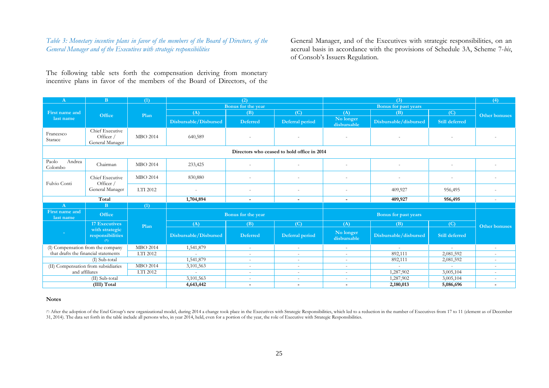# *Table 3: Monetary incentive plans in favor of the members of the Board of Directors, of the General Manager and of the Executives with strategic responsibilities*

General Manager, and of the Executives with strategic responsibilities, on an accrual basis in accordance with the provisions of Schedule 3A, Scheme 7-*bis*, of Consob's Issuers Regulation.

The following table sets forth the compensation deriving from monetary incentive plans in favor of the members of the Board of Directors, of the

| $\mathbf{A}$                                | $\mathbf{B}$                                    | (1)             |                       | (2)                      |                          |                          | (3)                   |                          |                          |  |  |  |  |  |
|---------------------------------------------|-------------------------------------------------|-----------------|-----------------------|--------------------------|--------------------------|--------------------------|-----------------------|--------------------------|--------------------------|--|--|--|--|--|
|                                             |                                                 |                 |                       | Bonus for the year       |                          |                          |                       |                          |                          |  |  |  |  |  |
| First name and                              | Office                                          | Plan            | (A)                   | (B)                      | (C)                      | (A)                      | (B)                   | (C)                      | Other bonuses            |  |  |  |  |  |
| last name                                   |                                                 |                 | Disbursable/Disbursed | <b>Deferred</b>          | Deferral period          | No longer<br>disbursable | Disbursable/disbursed | <b>Still deferred</b>    |                          |  |  |  |  |  |
| Francesco<br>Starace                        | Chief Executive<br>Officer /<br>General Manager | <b>MBO 2014</b> | 640,589               |                          | $\overline{\phantom{a}}$ | $\overline{\phantom{a}}$ |                       |                          |                          |  |  |  |  |  |
| Directors who ceased to hold office in 2014 |                                                 |                 |                       |                          |                          |                          |                       |                          |                          |  |  |  |  |  |
| Paolo<br>Andrea<br>Colombo                  | Chairman                                        | <b>MBO 2014</b> | 233,425               | $\overline{\phantom{a}}$ | $\overline{\phantom{a}}$ | $\overline{\phantom{0}}$ |                       | $\overline{\phantom{a}}$ |                          |  |  |  |  |  |
| Fulvio Conti                                | Chief Executive<br>Officer /<br>General Manager | <b>MBO 2014</b> | 830,880               |                          | $\overline{\phantom{a}}$ |                          | $\sim$                | $\sim$                   |                          |  |  |  |  |  |
|                                             |                                                 | LTI 2012        |                       |                          | $\overline{\phantom{a}}$ | $\overline{\phantom{0}}$ | 409,927               | 956,495                  | $\overline{\phantom{a}}$ |  |  |  |  |  |
|                                             | Total                                           |                 | 1,704,894             | $\overline{a}$           | $\overline{\phantom{a}}$ | $\sim$                   | 409,927               | 956,495                  | $\overline{a}$           |  |  |  |  |  |
| $\bf{A}$                                    | B.<br>(1)                                       |                 |                       |                          |                          |                          |                       |                          |                          |  |  |  |  |  |
| First name and<br>last name                 | <b>Office</b>                                   |                 |                       | Bonus for the year       |                          |                          |                       |                          |                          |  |  |  |  |  |
|                                             | <b>17 Executives</b>                            | Plan            | (A)                   | (B)                      | (C)                      | (A)                      | (B)                   | (C)                      | Other bonuses            |  |  |  |  |  |
| n an                                        | with strategic<br>responsibilities<br>$(*)$     |                 | Disbursable/Disbursed | <b>Deferred</b>          | Deferral period          | No longer<br>disbursable | Disbursable/disbursed | <b>Still deferred</b>    |                          |  |  |  |  |  |
| (I) Compensation from the company           |                                                 | <b>MBO 2014</b> | 1,541,879             | $\overline{\phantom{a}}$ | $\sim$                   | $\overline{\phantom{a}}$ | $\sim$                | $\sim$                   |                          |  |  |  |  |  |
| that drafts the financial statements        |                                                 | LTI 2012        | in 1919.              | $\overline{\phantom{a}}$ | $\sim$                   | $\sim$                   | 892,111               | 2,081,592                | $\sim$                   |  |  |  |  |  |
|                                             | (I) Sub-total                                   |                 | 1,541,879             | $\sim$                   | $\sim$                   | $\sim$                   | 892,111               | 2,081,592                | $\sim$                   |  |  |  |  |  |
| (II) Compensation from subsidiaries         |                                                 | <b>MBO 2014</b> | 3,101,563             | $\sim$                   | $\sim$                   | $\sim$                   | $\sim$                | $\sim$                   | $\overline{\phantom{a}}$ |  |  |  |  |  |
| and affiliates                              |                                                 | LTI 2012        | $\sim$                | $\overline{\phantom{a}}$ | $\sim$                   | $\sim$                   | 1,287,902             | 3,005,104                | $\sim$                   |  |  |  |  |  |
|                                             | (II) Sub-total                                  |                 | 3,101,563             |                          | $\overline{\phantom{a}}$ |                          | 1,287,902             | 3,005,104                |                          |  |  |  |  |  |
|                                             | (III) Total                                     |                 | 4,643,442             | $\overline{\phantom{a}}$ | $\overline{\phantom{a}}$ | $\sim$                   | 2,180,013             | 5,086,696                | $\overline{\phantom{a}}$ |  |  |  |  |  |

#### <span id="page-24-0"></span>**Notes**

(\*) After the adoption of the Enel Group's new organizational model, during 2014 a change took place in the Executives with Strategic Responsibilities, which led to a reduction in the number of Executives from 17 to 11 (el 31, 2014). The data set forth in the table include all persons who, in year 2014, held, even for a portion of the year, the role of Executive with Strategic Responsibilities.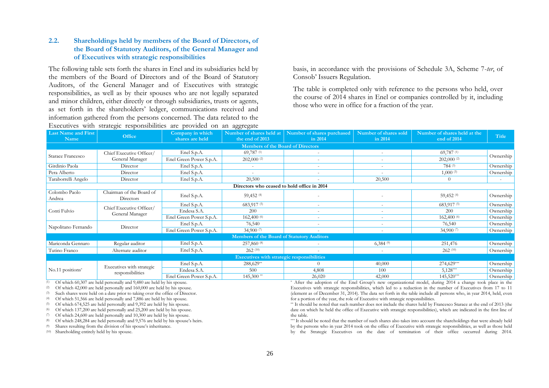# **2.2. Shareholdings held by members of the Board of Directors, of the Board of Statutory Auditors, of the General Manager and of Executives with strategic responsibilities**

The following table sets forth the shares in Enel and its subsidiaries held by the members of the Board of Directors and of the Board of Statutory Auditors, of the General Manager and of Executives with strategic responsibilities, as well as by their spouses who are not legally separated and minor children, either directly or through subsidiaries, trusts or agents, as set forth in the shareholders' ledger, communications received and information gathered from the persons concerned. The data related to the Executives with strategic responsibilities are provided on an aggregate

basis, in accordance with the provisions of Schedule 3A, Scheme 7-*ter*, of Consob' Issuers Regulation.

The table is completed only with reference to the persons who held, over the course of 2014 shares in Enel or companies controlled by it, including those who were in office for a fraction of the year.

<span id="page-25-0"></span>

| <b>Last Name and First</b><br>Name          | Office                                        | Company in which<br>shares are held | Number of shares held at<br>the end of 2013 | Number of shares purchased<br>in 2014 | Number of shares sold<br>in 2014 | Number of shares held at the<br>end of 2014 | Title     |  |  |  |  |  |
|---------------------------------------------|-----------------------------------------------|-------------------------------------|---------------------------------------------|---------------------------------------|----------------------------------|---------------------------------------------|-----------|--|--|--|--|--|
|                                             |                                               |                                     | <b>Members of the Board of Directors</b>    |                                       |                                  |                                             |           |  |  |  |  |  |
|                                             | Chief Executive Officer/                      | Enel S.p.A.                         | 69,787(1)                                   |                                       |                                  | 69,787(1)                                   |           |  |  |  |  |  |
| Starace Francesco                           | General Manager                               | Enel Green Power S.p.A.             | $202,000$ <sup>(2)</sup>                    |                                       |                                  | $202,000$ <sup>(2)</sup>                    | Ownership |  |  |  |  |  |
| Girdinio Paola                              | Director                                      | Enel S.p.A.                         | $\sim$                                      |                                       |                                  | 784 (3)                                     | Ownership |  |  |  |  |  |
| Pera Alberto                                | Director                                      | Enel S.p.A.                         |                                             |                                       |                                  | 1,000(3)                                    | Ownership |  |  |  |  |  |
| Taraborrelli Angelo                         | Director                                      | Enel S.p.A.                         | 20,500                                      |                                       | 20,500                           | $\theta$                                    | $\sim$    |  |  |  |  |  |
| Directors who ceased to hold office in 2014 |                                               |                                     |                                             |                                       |                                  |                                             |           |  |  |  |  |  |
| Colombo Paolo<br>Andrea                     | Chairman of the Board of<br>Directors         | Enel S.p.A.                         | 59,452 (4)                                  |                                       |                                  | 59,452 (4)                                  | Ownership |  |  |  |  |  |
| Conti Fulvio                                |                                               | Enel S.p.A.                         | 683,917 (5)                                 | $\sim$                                |                                  | 683,917 (5)                                 | Ownership |  |  |  |  |  |
|                                             | Chief Executive Officer/<br>General Manager   | Endesa S.A.                         | 200                                         |                                       |                                  | 200                                         | Ownership |  |  |  |  |  |
|                                             |                                               | Enel Green Power S.p.A.             | 162,400 (6)                                 |                                       |                                  | 162,400 (6)                                 | Ownership |  |  |  |  |  |
| Napolitano Fernando                         | Director                                      | Enel S.p.A.                         | 76,540                                      | $\overline{\phantom{a}}$              | $\sim$                           | 76,540                                      | Ownership |  |  |  |  |  |
|                                             |                                               | Enel Green Power S.p.A.             | 34,900 $(7)$                                |                                       |                                  | 34,900 (7)                                  | Ownership |  |  |  |  |  |
|                                             |                                               |                                     | Members of the Board of Statutory Auditors  |                                       |                                  |                                             |           |  |  |  |  |  |
| Mariconda Gennaro                           | Regular auditor                               | Enel S.p.A.                         | 257,860 (8)                                 |                                       | 6,384(9)                         | 251,476                                     | Ownership |  |  |  |  |  |
| Tutino Franco                               | Alternate auditor                             | Enel S.p.A.                         | 262(10)                                     |                                       |                                  | 262(10)                                     | Ownership |  |  |  |  |  |
|                                             |                                               |                                     | Executives with strategic responsibilities  |                                       |                                  |                                             |           |  |  |  |  |  |
|                                             |                                               | Enel S.p.A.                         | 288,629**                                   |                                       | 40,000                           | 274,629***                                  | Ownership |  |  |  |  |  |
| No.11 positions*                            | Executives with strategic<br>responsibilities | Endesa S.A.                         | 500                                         | 4,808                                 | 100                              | $5,128***$                                  | Ownership |  |  |  |  |  |
|                                             |                                               | Enel Green Power S.p.A.             | $145,300$ **                                | 26,020                                | 42,000                           | $145,520***$                                | Ownership |  |  |  |  |  |

 $(1)$  Of which 60,307 are held personally and 9,480 are held by his spouse.

(2) Of which 42,000 are held personally and 160,000 are held by his spouse.

(3) Such shares were held on a date prior to taking over the office of Director.

(4) Of which 51,566 are held personally and 7,886 are held by his spouse.

(5) Of which 674,525 are held personally and 9,392 are held by his spouse.

(6) Of which 137,200 are held personally and 25,200 are held by his spouse. (7) Of which 24,600 are held personally and 10,300 are held by his spouse.

(8) Of which 248,284 are held personally and 9,576 are held by his spouse's heirs.

(9) Shares resulting from the division of his spouse's inheritance.

(10) Shareholding entirely held by his spouse.

\* After the adoption of the Enel Group's new organizational model, during 2014 a change took place in the Executives with strategic responsibilities, which led to a reduction in the number of Executives from 17 to 11 (element as of December 31, 2014). The data set forth in the table include all persons who, in year 2014, held, even for a portion of the year, the role of Executive with strategic responsibilities.

\*\* It should be noted that such number does not include the shares held by Francesco Starace at the end of 2013 (the date on which he held the office of Executive with strategic responsibilities), which are indicated in the first line of the table.

\*\*\* It should be noted that the number of such shares also takes into account the shareholdings that were already held by the persons who in year 2014 took on the office of Executive with strategic responsibilities, as well as those held by the Strategic Executives on the date of termination of their office occurred during 2014.